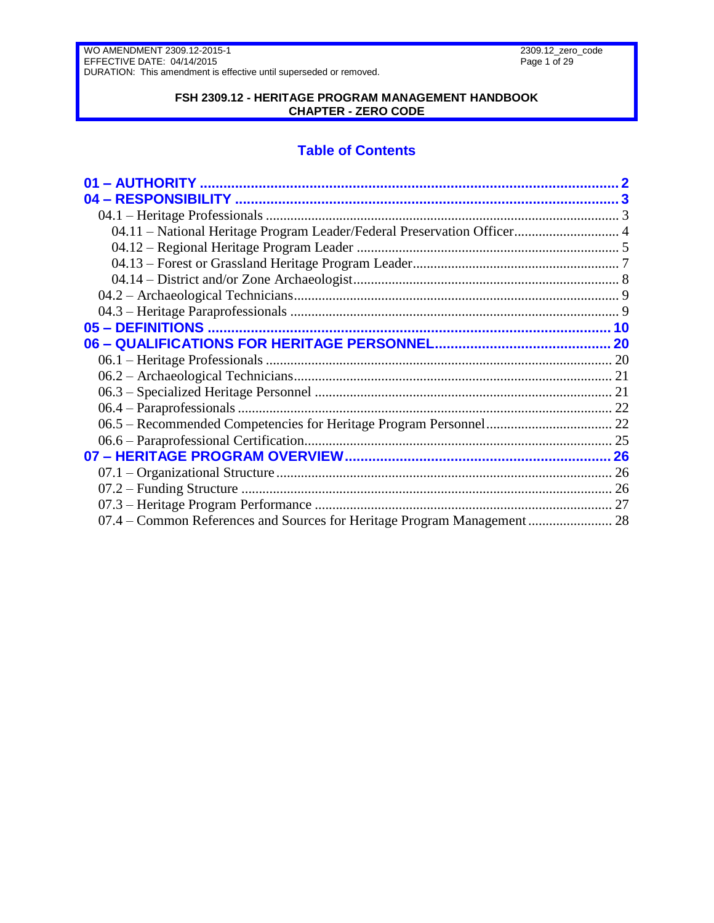### **FSH 2309.12 - HERITAGE PROGRAM MANAGEMENT HANDBOOK CHAPTER - ZERO CODE**

# **Table of Contents**

| 04.11 - National Heritage Program Leader/Federal Preservation Officer 4 |  |
|-------------------------------------------------------------------------|--|
|                                                                         |  |
|                                                                         |  |
|                                                                         |  |
|                                                                         |  |
|                                                                         |  |
|                                                                         |  |
|                                                                         |  |
|                                                                         |  |
|                                                                         |  |
|                                                                         |  |
|                                                                         |  |
|                                                                         |  |
|                                                                         |  |
|                                                                         |  |
|                                                                         |  |
|                                                                         |  |
|                                                                         |  |
|                                                                         |  |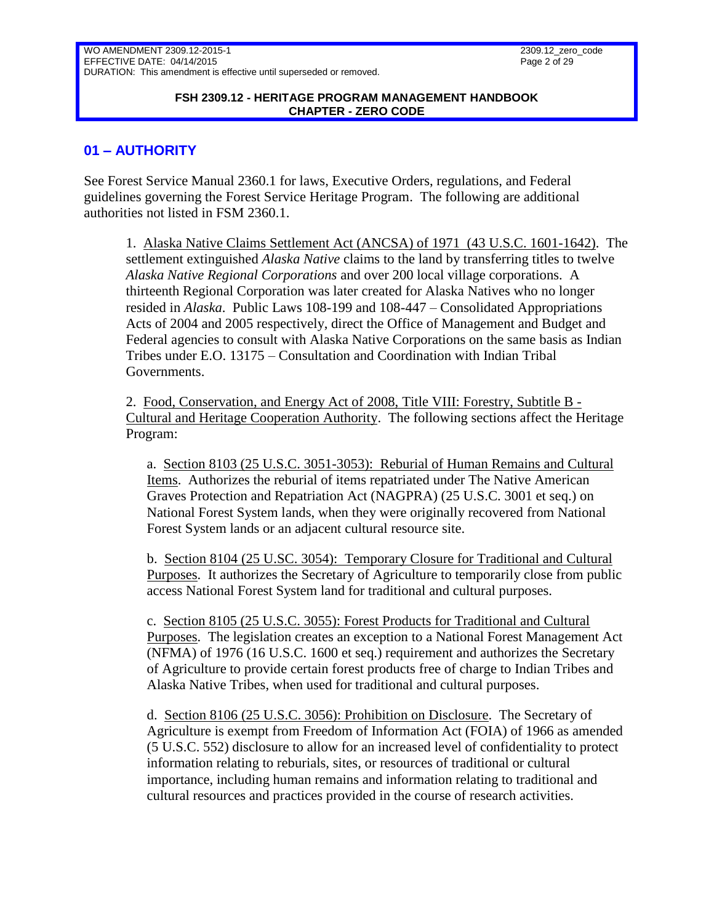#### **FSH 2309.12 - HERITAGE PROGRAM MANAGEMENT HANDBOOK CHAPTER - ZERO CODE**

### <span id="page-1-0"></span>**01 – AUTHORITY**

See Forest Service Manual 2360.1 for laws, Executive Orders, regulations, and Federal guidelines governing the Forest Service Heritage Program. The following are additional authorities not listed in FSM 2360.1.

1. Alaska Native Claims Settlement Act (ANCSA) of 1971 (43 U.S.C. 1601-1642). The settlement extinguished *[Alaska Native](http://en.wikipedia.org/wiki/Alaska_Native)* claims to the land by transferring titles to twelve *[Alaska Native Regional](http://en.wikipedia.org/wiki/Alaska_Native_Regional_Corporations) Corporations* and over 200 local village corporations. A thirteenth Regional Corporation was later created for Alaska Natives who no longer resided in *[Alaska](http://en.wikipedia.org/wiki/Alaska)*. Public Laws 108-199 and 108-447 – Consolidated Appropriations Acts of 2004 and 2005 respectively, direct the Office of Management and Budget and Federal agencies to consult with Alaska Native Corporations on the same basis as Indian Tribes under E.O. 13175 – Consultation and Coordination with Indian Tribal Governments.

2. Food, Conservation, and Energy Act of 2008, Title VIII: Forestry, Subtitle B - Cultural and Heritage Cooperation Authority. The following sections affect the Heritage Program:

a. Section 8103 (25 U.S.C. 3051-3053): Reburial of Human Remains and Cultural Items. Authorizes the reburial of items repatriated under The Native American Graves Protection and Repatriation Act (NAGPRA) (25 U.S.C. 3001 et seq.) on National Forest System lands, when they were originally recovered from National Forest System lands or an adjacent cultural resource site.

b. Section 8104 (25 U.SC. 3054): Temporary Closure for Traditional and Cultural Purposes. It authorizes the Secretary of Agriculture to temporarily close from public access National Forest System land for traditional and cultural purposes.

c. Section 8105 (25 U.S.C. 3055): Forest Products for Traditional and Cultural Purposes. The legislation creates an exception to a National Forest Management Act (NFMA) of 1976 (16 U.S.C. 1600 et seq.) requirement and authorizes the Secretary of Agriculture to provide certain forest products free of charge to Indian Tribes and Alaska Native Tribes, when used for traditional and cultural purposes.

d. Section 8106 (25 U.S.C. 3056): Prohibition on Disclosure. The Secretary of Agriculture is exempt from Freedom of Information Act (FOIA) of 1966 as amended (5 U.S.C. 552) disclosure to allow for an increased level of confidentiality to protect information relating to reburials, sites, or resources of traditional or cultural importance, including human remains and information relating to traditional and cultural resources and practices provided in the course of research activities.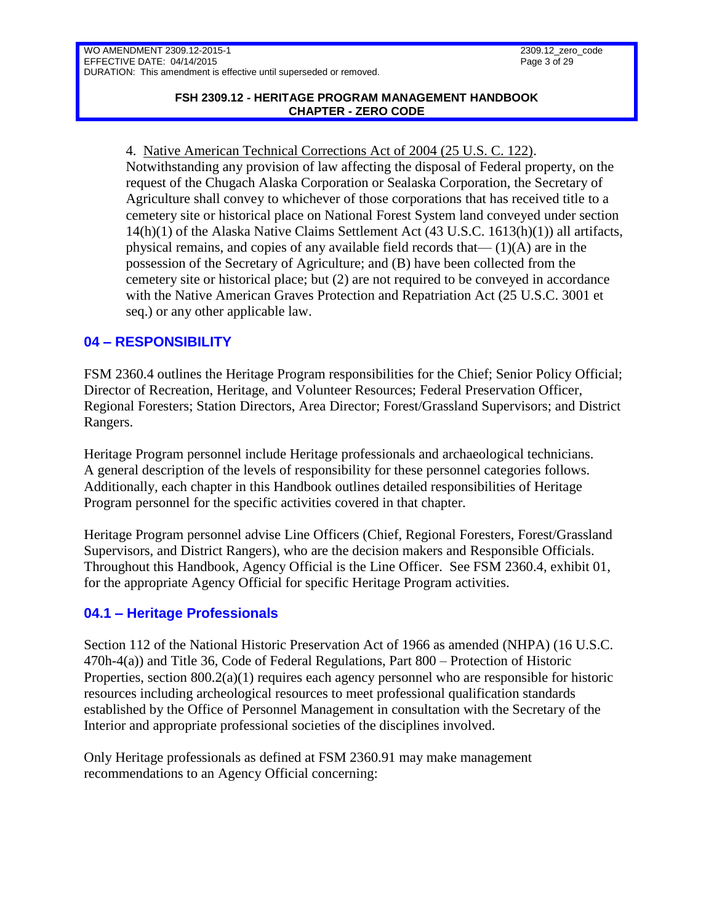4. Native American Technical Corrections Act of 2004 (25 U.S. C. 122). Notwithstanding any provision of law affecting the disposal of Federal property, on the request of the Chugach Alaska Corporation or Sealaska Corporation, the Secretary of Agriculture shall convey to whichever of those corporations that has received title to a cemetery site or historical place on National Forest System land conveyed under section 14(h)(1) of the Alaska Native Claims Settlement Act (43 U.S.C. 1613(h)(1)) all artifacts, physical remains, and copies of any available field records that  $-(1)(A)$  are in the possession of the Secretary of Agriculture; and (B) have been collected from the cemetery site or historical place; but (2) are not required to be conveyed in accordance with the Native American Graves Protection and Repatriation Act (25 U.S.C. 3001 et seq.) or any other applicable law.

# <span id="page-2-0"></span>**04 – RESPONSIBILITY**

FSM 2360.4 outlines the Heritage Program responsibilities for the Chief; Senior Policy Official; Director of Recreation, Heritage, and Volunteer Resources; Federal Preservation Officer, Regional Foresters; Station Directors, Area Director; Forest/Grassland Supervisors; and District Rangers.

Heritage Program personnel include Heritage professionals and archaeological technicians. A general description of the levels of responsibility for these personnel categories follows. Additionally, each chapter in this Handbook outlines detailed responsibilities of Heritage Program personnel for the specific activities covered in that chapter.

Heritage Program personnel advise Line Officers (Chief, Regional Foresters, Forest/Grassland Supervisors, and District Rangers), who are the decision makers and Responsible Officials. Throughout this Handbook, Agency Official is the Line Officer. See FSM 2360.4, exhibit 01, for the appropriate Agency Official for specific Heritage Program activities.

## <span id="page-2-1"></span>**04.1 – Heritage Professionals**

Section 112 of the National Historic Preservation Act of 1966 as amended (NHPA) (16 U.S.C. 470h-4(a)) and Title 36, Code of Federal Regulations, Part 800 – Protection of Historic Properties, section  $800.2(a)(1)$  requires each agency personnel who are responsible for historic resources including archeological resources to meet professional qualification standards established by the Office of Personnel Management in consultation with the Secretary of the Interior and appropriate professional societies of the disciplines involved.

Only Heritage professionals as defined at FSM 2360.91 may make management recommendations to an Agency Official concerning: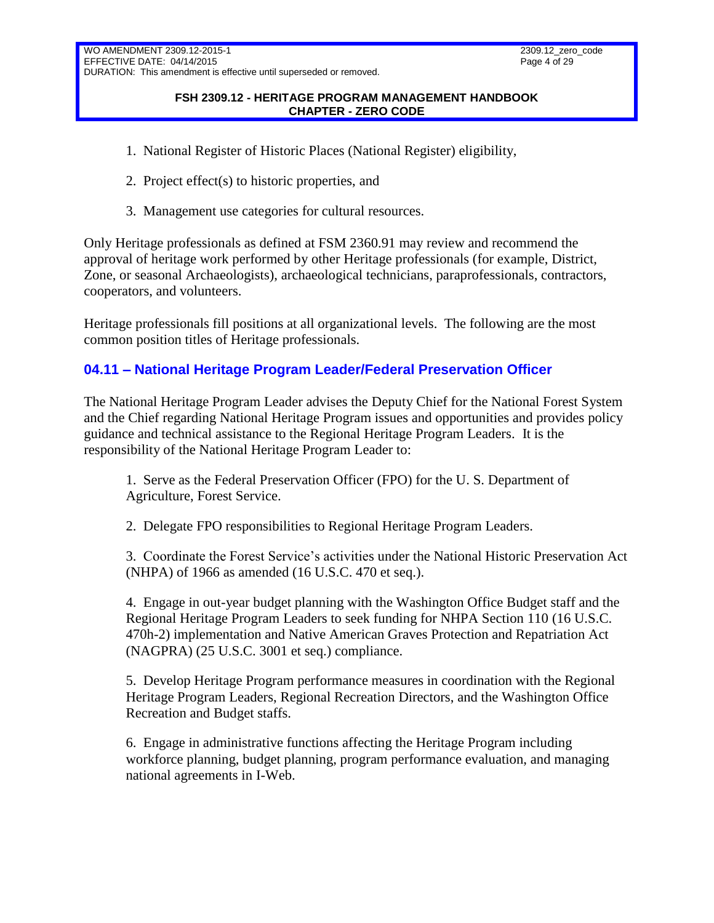#### **FSH 2309.12 - HERITAGE PROGRAM MANAGEMENT HANDBOOK CHAPTER - ZERO CODE**

- 1. National Register of Historic Places (National Register) eligibility,
- 2. Project effect(s) to historic properties, and
- 3. Management use categories for cultural resources.

Only Heritage professionals as defined at FSM 2360.91 may review and recommend the approval of heritage work performed by other Heritage professionals (for example, District, Zone, or seasonal Archaeologists), archaeological technicians, paraprofessionals, contractors, cooperators, and volunteers.

Heritage professionals fill positions at all organizational levels. The following are the most common position titles of Heritage professionals.

# <span id="page-3-0"></span>**04.11 – National Heritage Program Leader/Federal Preservation Officer**

The National Heritage Program Leader advises the Deputy Chief for the National Forest System and the Chief regarding National Heritage Program issues and opportunities and provides policy guidance and technical assistance to the Regional Heritage Program Leaders. It is the responsibility of the National Heritage Program Leader to:

1. Serve as the Federal Preservation Officer (FPO) for the U. S. Department of Agriculture, Forest Service.

2. Delegate FPO responsibilities to Regional Heritage Program Leaders.

3. Coordinate the Forest Service's activities under the National Historic Preservation Act (NHPA) of 1966 as amended (16 U.S.C. 470 et seq.).

4. Engage in out-year budget planning with the Washington Office Budget staff and the Regional Heritage Program Leaders to seek funding for NHPA Section 110 (16 U.S.C. 470h-2) implementation and Native American Graves Protection and Repatriation Act (NAGPRA) (25 U.S.C. 3001 et seq.) compliance.

5. Develop Heritage Program performance measures in coordination with the Regional Heritage Program Leaders, Regional Recreation Directors, and the Washington Office Recreation and Budget staffs.

6. Engage in administrative functions affecting the Heritage Program including workforce planning, budget planning, program performance evaluation, and managing national agreements in I-Web.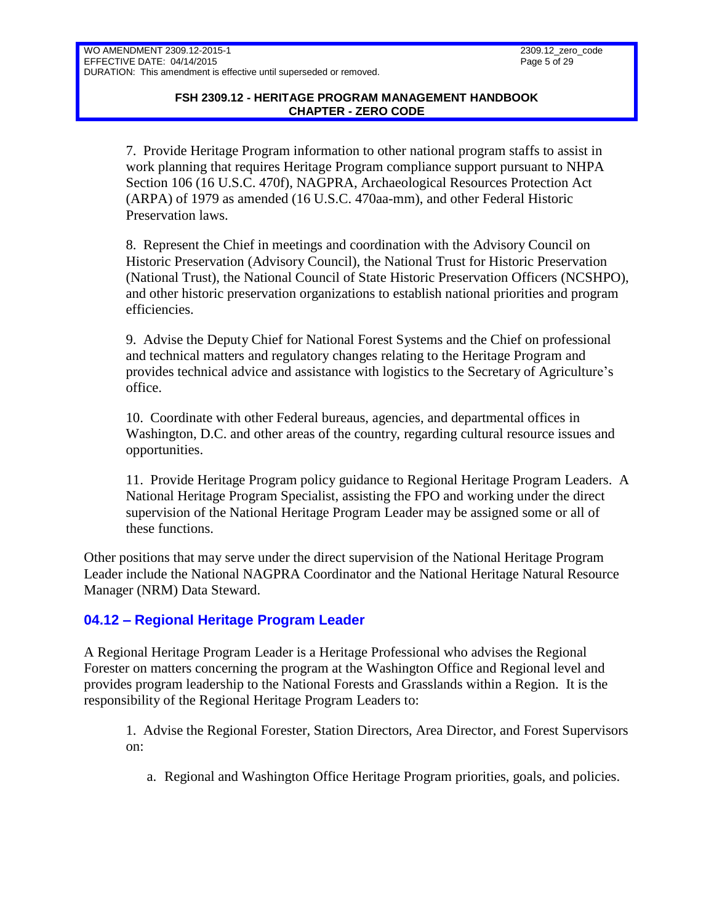7. Provide Heritage Program information to other national program staffs to assist in work planning that requires Heritage Program compliance support pursuant to NHPA Section 106 (16 U.S.C. 470f), NAGPRA, Archaeological Resources Protection Act (ARPA) of 1979 as amended (16 U.S.C. 470aa-mm), and other Federal Historic Preservation laws.

8. Represent the Chief in meetings and coordination with the Advisory Council on Historic Preservation (Advisory Council), the National Trust for Historic Preservation (National Trust), the National Council of State Historic Preservation Officers (NCSHPO), and other historic preservation organizations to establish national priorities and program efficiencies.

9. Advise the Deputy Chief for National Forest Systems and the Chief on professional and technical matters and regulatory changes relating to the Heritage Program and provides technical advice and assistance with logistics to the Secretary of Agriculture's office.

10. Coordinate with other Federal bureaus, agencies, and departmental offices in Washington, D.C. and other areas of the country, regarding cultural resource issues and opportunities.

11. Provide Heritage Program policy guidance to Regional Heritage Program Leaders. A National Heritage Program Specialist, assisting the FPO and working under the direct supervision of the National Heritage Program Leader may be assigned some or all of these functions.

Other positions that may serve under the direct supervision of the National Heritage Program Leader include the National NAGPRA Coordinator and the National Heritage Natural Resource Manager (NRM) Data Steward.

## <span id="page-4-0"></span>**04.12 – Regional Heritage Program Leader**

A Regional Heritage Program Leader is a Heritage Professional who advises the Regional Forester on matters concerning the program at the Washington Office and Regional level and provides program leadership to the National Forests and Grasslands within a Region. It is the responsibility of the Regional Heritage Program Leaders to:

1. Advise the Regional Forester, Station Directors, Area Director, and Forest Supervisors on:

a. Regional and Washington Office Heritage Program priorities, goals, and policies.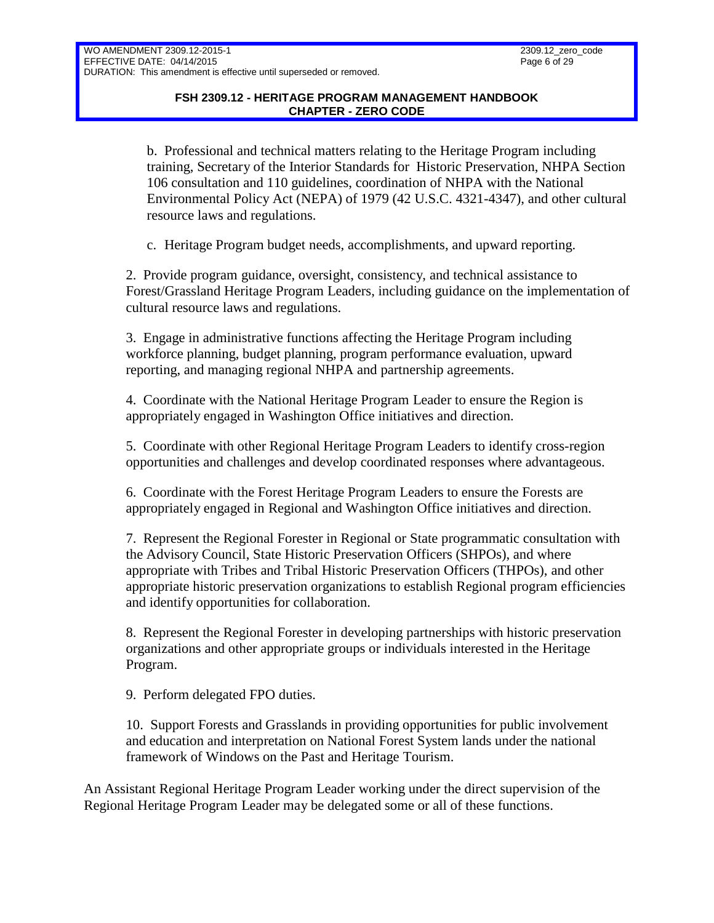b. Professional and technical matters relating to the Heritage Program including training, Secretary of the Interior Standards for Historic Preservation, NHPA Section 106 consultation and 110 guidelines, coordination of NHPA with the National Environmental Policy Act (NEPA) of 1979 (42 U.S.C. 4321-4347), and other cultural resource laws and regulations.

c. Heritage Program budget needs, accomplishments, and upward reporting.

2. Provide program guidance, oversight, consistency, and technical assistance to Forest/Grassland Heritage Program Leaders, including guidance on the implementation of cultural resource laws and regulations.

3. Engage in administrative functions affecting the Heritage Program including workforce planning, budget planning, program performance evaluation, upward reporting, and managing regional NHPA and partnership agreements.

4. Coordinate with the National Heritage Program Leader to ensure the Region is appropriately engaged in Washington Office initiatives and direction.

5. Coordinate with other Regional Heritage Program Leaders to identify cross-region opportunities and challenges and develop coordinated responses where advantageous.

6. Coordinate with the Forest Heritage Program Leaders to ensure the Forests are appropriately engaged in Regional and Washington Office initiatives and direction.

7. Represent the Regional Forester in Regional or State programmatic consultation with the Advisory Council, State Historic Preservation Officers (SHPOs), and where appropriate with Tribes and Tribal Historic Preservation Officers (THPOs), and other appropriate historic preservation organizations to establish Regional program efficiencies and identify opportunities for collaboration.

8. Represent the Regional Forester in developing partnerships with historic preservation organizations and other appropriate groups or individuals interested in the Heritage Program.

9. Perform delegated FPO duties.

10. Support Forests and Grasslands in providing opportunities for public involvement and education and interpretation on National Forest System lands under the national framework of Windows on the Past and Heritage Tourism.

An Assistant Regional Heritage Program Leader working under the direct supervision of the Regional Heritage Program Leader may be delegated some or all of these functions.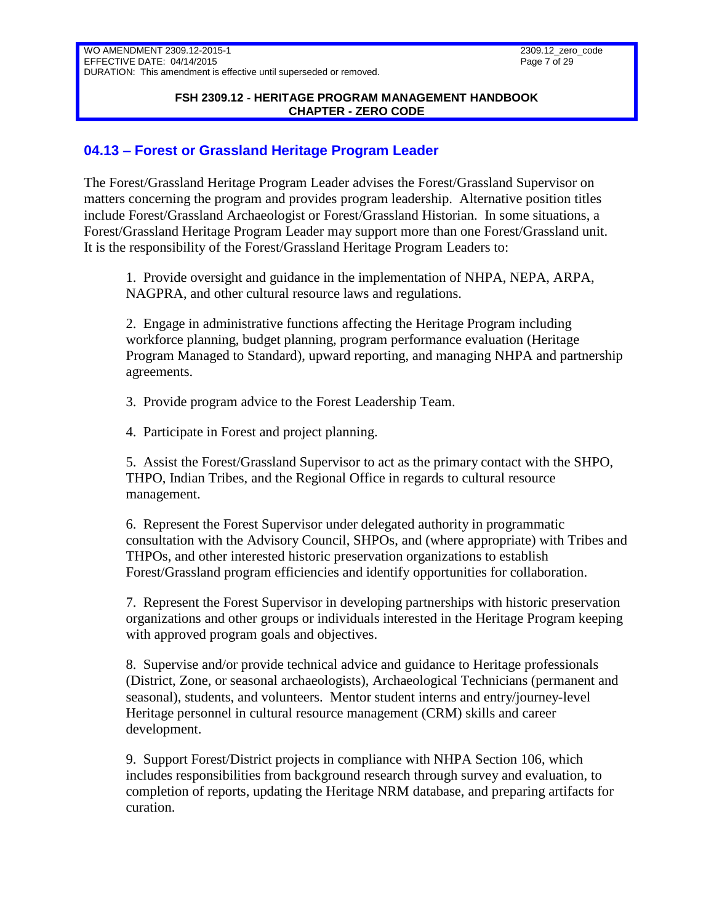#### **FSH 2309.12 - HERITAGE PROGRAM MANAGEMENT HANDBOOK CHAPTER - ZERO CODE**

## <span id="page-6-0"></span>**04.13 – Forest or Grassland Heritage Program Leader**

The Forest/Grassland Heritage Program Leader advises the Forest/Grassland Supervisor on matters concerning the program and provides program leadership. Alternative position titles include Forest/Grassland Archaeologist or Forest/Grassland Historian. In some situations, a Forest/Grassland Heritage Program Leader may support more than one Forest/Grassland unit. It is the responsibility of the Forest/Grassland Heritage Program Leaders to:

1. Provide oversight and guidance in the implementation of NHPA, NEPA, ARPA, NAGPRA, and other cultural resource laws and regulations.

2. Engage in administrative functions affecting the Heritage Program including workforce planning, budget planning, program performance evaluation (Heritage Program Managed to Standard), upward reporting, and managing NHPA and partnership agreements.

3. Provide program advice to the Forest Leadership Team.

4. Participate in Forest and project planning.

5. Assist the Forest/Grassland Supervisor to act as the primary contact with the SHPO, THPO, Indian Tribes, and the Regional Office in regards to cultural resource management.

6. Represent the Forest Supervisor under delegated authority in programmatic consultation with the Advisory Council, SHPOs, and (where appropriate) with Tribes and THPOs, and other interested historic preservation organizations to establish Forest/Grassland program efficiencies and identify opportunities for collaboration.

7. Represent the Forest Supervisor in developing partnerships with historic preservation organizations and other groups or individuals interested in the Heritage Program keeping with approved program goals and objectives.

8. Supervise and/or provide technical advice and guidance to Heritage professionals (District, Zone, or seasonal archaeologists), Archaeological Technicians (permanent and seasonal), students, and volunteers. Mentor student interns and entry/journey-level Heritage personnel in cultural resource management (CRM) skills and career development.

9. Support Forest/District projects in compliance with NHPA Section 106, which includes responsibilities from background research through survey and evaluation, to completion of reports, updating the Heritage NRM database, and preparing artifacts for curation.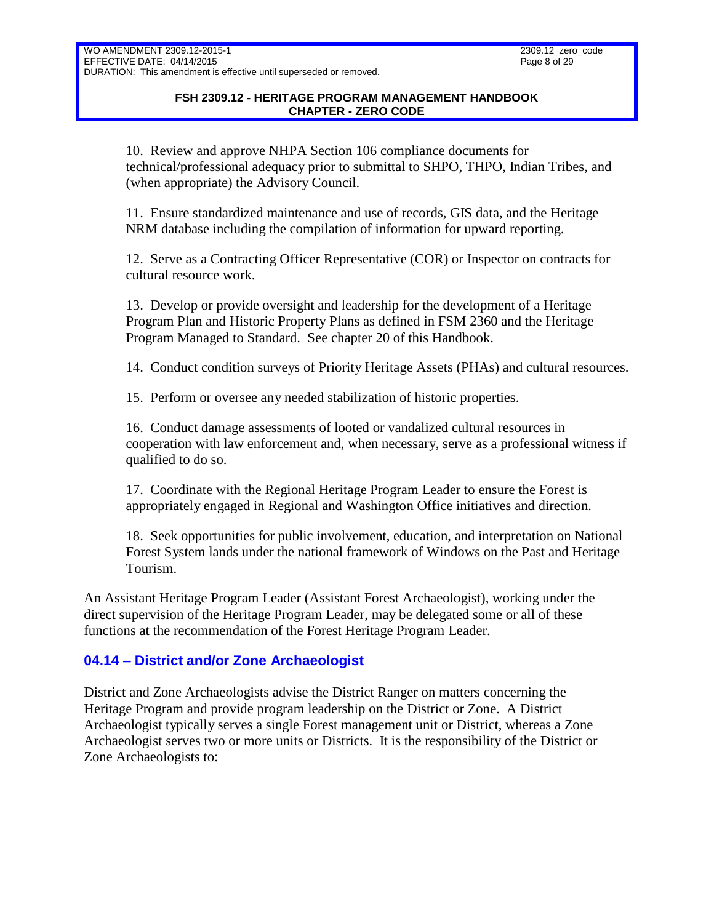10. Review and approve NHPA Section 106 compliance documents for technical/professional adequacy prior to submittal to SHPO, THPO, Indian Tribes, and (when appropriate) the Advisory Council.

11. Ensure standardized maintenance and use of records, GIS data, and the Heritage NRM database including the compilation of information for upward reporting.

12. Serve as a Contracting Officer Representative (COR) or Inspector on contracts for cultural resource work.

13. Develop or provide oversight and leadership for the development of a Heritage Program Plan and Historic Property Plans as defined in FSM 2360 and the Heritage Program Managed to Standard. See chapter 20 of this Handbook.

14. Conduct condition surveys of Priority Heritage Assets (PHAs) and cultural resources.

15. Perform or oversee any needed stabilization of historic properties.

16. Conduct damage assessments of looted or vandalized cultural resources in cooperation with law enforcement and, when necessary, serve as a professional witness if qualified to do so.

17. Coordinate with the Regional Heritage Program Leader to ensure the Forest is appropriately engaged in Regional and Washington Office initiatives and direction.

18. Seek opportunities for public involvement, education, and interpretation on National Forest System lands under the national framework of Windows on the Past and Heritage Tourism.

An Assistant Heritage Program Leader (Assistant Forest Archaeologist), working under the direct supervision of the Heritage Program Leader, may be delegated some or all of these functions at the recommendation of the Forest Heritage Program Leader.

## <span id="page-7-0"></span>**04.14 – District and/or Zone Archaeologist**

District and Zone Archaeologists advise the District Ranger on matters concerning the Heritage Program and provide program leadership on the District or Zone. A District Archaeologist typically serves a single Forest management unit or District, whereas a Zone Archaeologist serves two or more units or Districts. It is the responsibility of the District or Zone Archaeologists to: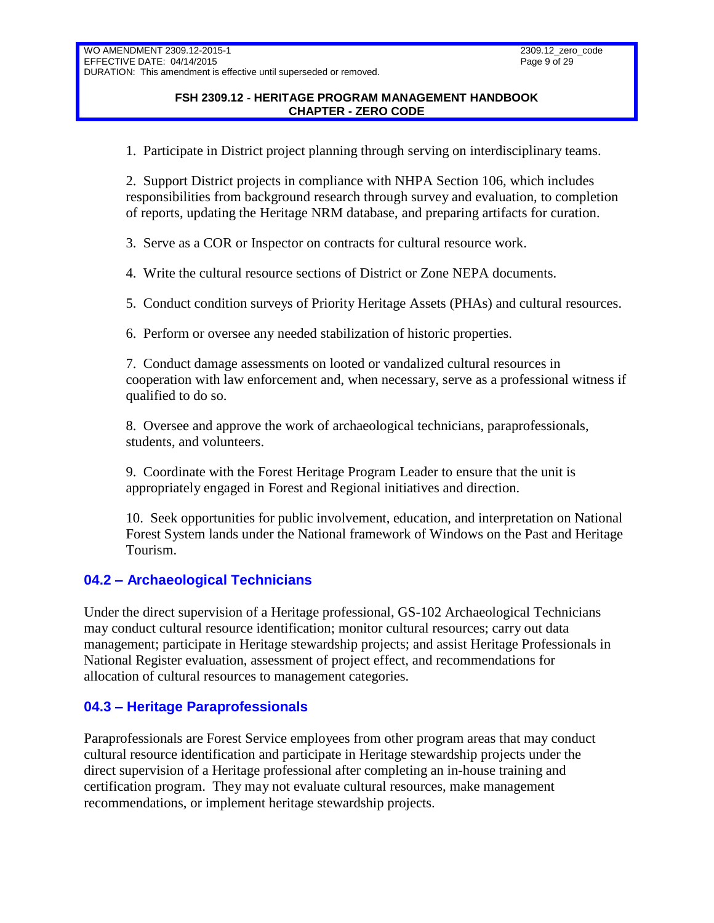#### **FSH 2309.12 - HERITAGE PROGRAM MANAGEMENT HANDBOOK CHAPTER - ZERO CODE**

1. Participate in District project planning through serving on interdisciplinary teams.

2. Support District projects in compliance with NHPA Section 106, which includes responsibilities from background research through survey and evaluation, to completion of reports, updating the Heritage NRM database, and preparing artifacts for curation.

3. Serve as a COR or Inspector on contracts for cultural resource work.

4. Write the cultural resource sections of District or Zone NEPA documents.

5. Conduct condition surveys of Priority Heritage Assets (PHAs) and cultural resources.

6. Perform or oversee any needed stabilization of historic properties.

7. Conduct damage assessments on looted or vandalized cultural resources in cooperation with law enforcement and, when necessary, serve as a professional witness if qualified to do so.

8. Oversee and approve the work of archaeological technicians, paraprofessionals, students, and volunteers.

9. Coordinate with the Forest Heritage Program Leader to ensure that the unit is appropriately engaged in Forest and Regional initiatives and direction.

10. Seek opportunities for public involvement, education, and interpretation on National Forest System lands under the National framework of Windows on the Past and Heritage Tourism.

## <span id="page-8-0"></span>**04.2 – Archaeological Technicians**

Under the direct supervision of a Heritage professional, GS-102 Archaeological Technicians may conduct cultural resource identification; monitor cultural resources; carry out data management; participate in Heritage stewardship projects; and assist Heritage Professionals in National Register evaluation, assessment of project effect, and recommendations for allocation of cultural resources to management categories.

## <span id="page-8-1"></span>**04.3 – Heritage Paraprofessionals**

Paraprofessionals are Forest Service employees from other program areas that may conduct cultural resource identification and participate in Heritage stewardship projects under the direct supervision of a Heritage professional after completing an in-house training and certification program. They may not evaluate cultural resources, make management recommendations, or implement heritage stewardship projects.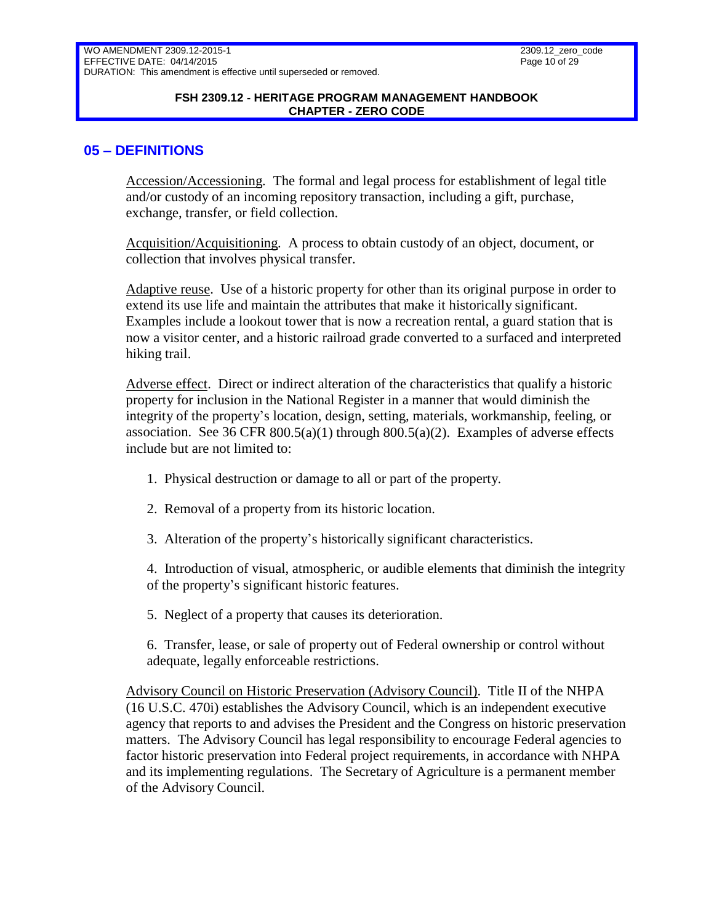#### **FSH 2309.12 - HERITAGE PROGRAM MANAGEMENT HANDBOOK CHAPTER - ZERO CODE**

### <span id="page-9-0"></span>**05 – DEFINITIONS**

Accession/Accessioning. The formal and legal process for establishment of legal title and/or custody of an incoming repository transaction, including a gift, purchase, exchange, transfer, or field collection.

Acquisition/Acquisitioning. A process to obtain custody of an object, document, or collection that involves physical transfer.

Adaptive reuse. Use of a historic property for other than its original purpose in order to extend its use life and maintain the attributes that make it historically significant. Examples include a lookout tower that is now a recreation rental, a guard station that is now a visitor center, and a historic railroad grade converted to a surfaced and interpreted hiking trail.

Adverse effect. Direct or indirect alteration of the characteristics that qualify a historic property for inclusion in the National Register in a manner that would diminish the integrity of the property's location, design, setting, materials, workmanship, feeling, or association. See 36 CFR  $800.5(a)(1)$  through  $800.5(a)(2)$ . Examples of adverse effects include but are not limited to:

- 1. Physical destruction or damage to all or part of the property.
- 2. Removal of a property from its historic location.
- 3. Alteration of the property's historically significant characteristics.

4. Introduction of visual, atmospheric, or audible elements that diminish the integrity of the property's significant historic features.

5. Neglect of a property that causes its deterioration.

6. Transfer, lease, or sale of property out of Federal ownership or control without adequate, legally enforceable restrictions.

Advisory Council on Historic Preservation (Advisory Council). Title II of the NHPA (16 U.S.C. 470i) establishes the Advisory Council, which is an independent executive agency that reports to and advises the President and the Congress on historic preservation matters. The Advisory Council has legal responsibility to encourage Federal agencies to factor historic preservation into Federal project requirements, in accordance with NHPA and its implementing regulations. The Secretary of Agriculture is a permanent member of the Advisory Council.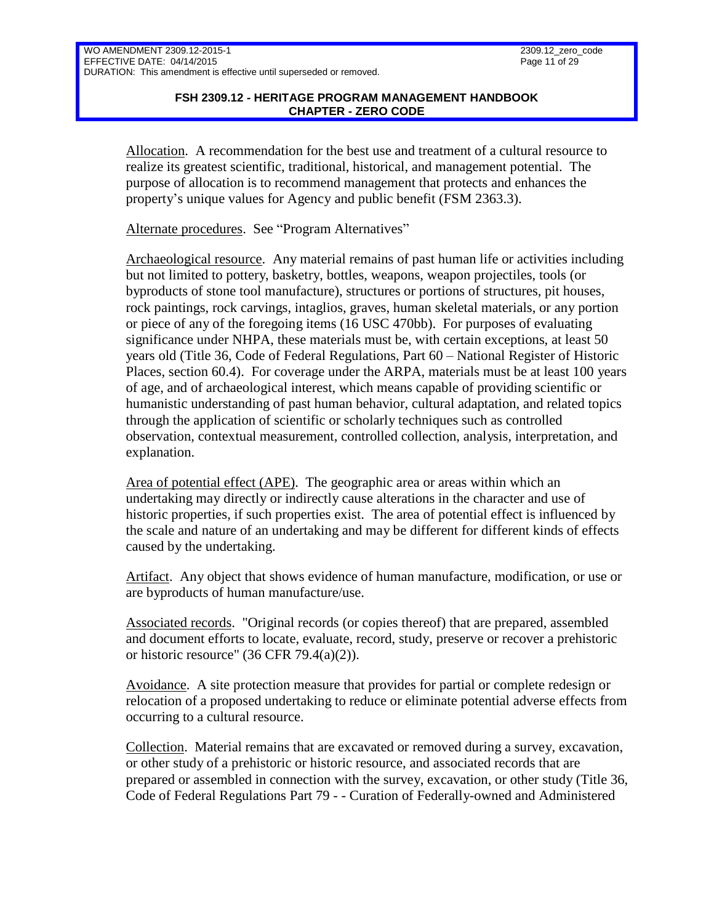#### **FSH 2309.12 - HERITAGE PROGRAM MANAGEMENT HANDBOOK CHAPTER - ZERO CODE**

Allocation. A recommendation for the best use and treatment of a cultural resource to realize its greatest scientific, traditional, historical, and management potential. The purpose of allocation is to recommend management that protects and enhances the property's unique values for Agency and public benefit (FSM 2363.3).

Alternate procedures. See "Program Alternatives"

Archaeological resource. Any material remains of past human life or activities including but not limited to pottery, basketry, bottles, weapons, weapon projectiles, tools (or byproducts of stone tool manufacture), structures or portions of structures, pit houses, rock paintings, rock carvings, intaglios, graves, human skeletal materials, or any portion or piece of any of the foregoing items (16 USC 470bb). For purposes of evaluating significance under NHPA, these materials must be, with certain exceptions, at least 50 years old (Title 36, Code of Federal Regulations, Part 60 – National Register of Historic Places, section 60.4). For coverage under the ARPA, materials must be at least 100 years of age, and of archaeological interest, which means capable of providing scientific or humanistic understanding of past human behavior, cultural adaptation, and related topics through the application of scientific or scholarly techniques such as controlled observation, contextual measurement, controlled collection, analysis, interpretation, and explanation.

Area of potential effect (APE). The geographic area or areas within which an undertaking may directly or indirectly cause alterations in the character and use of historic properties, if such properties exist. The area of potential effect is influenced by the scale and nature of an undertaking and may be different for different kinds of effects caused by the undertaking.

Artifact. Any object that shows evidence of human manufacture, modification, or use or are byproducts of human manufacture/use.

Associated records. "Original records (or copies thereof) that are prepared, assembled and document efforts to locate, evaluate, record, study, preserve or recover a prehistoric or historic resource"  $(36 \text{ CFR } 79.4(a)(2))$ .

Avoidance. A site protection measure that provides for partial or complete redesign or relocation of a proposed undertaking to reduce or eliminate potential adverse effects from occurring to a cultural resource.

Collection. Material remains that are excavated or removed during a survey, excavation, or other study of a prehistoric or historic resource, and associated records that are prepared or assembled in connection with the survey, excavation, or other study (Title 36, Code of Federal Regulations Part 79 - - Curation of Federally-owned and Administered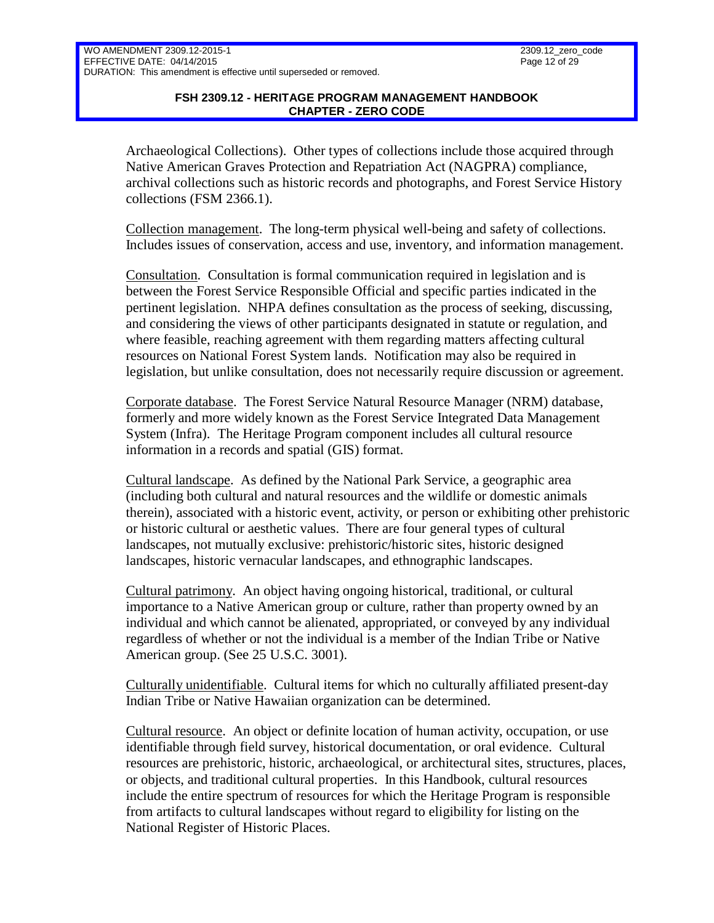### **FSH 2309.12 - HERITAGE PROGRAM MANAGEMENT HANDBOOK CHAPTER - ZERO CODE**

Archaeological Collections). Other types of collections include those acquired through Native American Graves Protection and Repatriation Act (NAGPRA) compliance, archival collections such as historic records and photographs, and Forest Service History collections (FSM 2366.1).

Collection management. The long-term physical well-being and safety of collections. Includes issues of conservation, access and use, inventory, and information management.

Consultation. Consultation is formal communication required in legislation and is between the Forest Service Responsible Official and specific parties indicated in the pertinent legislation. NHPA defines consultation as the process of seeking, discussing, and considering the views of other participants designated in statute or regulation, and where feasible, reaching agreement with them regarding matters affecting cultural resources on National Forest System lands. Notification may also be required in legislation, but unlike consultation, does not necessarily require discussion or agreement.

Corporate database. The Forest Service Natural Resource Manager (NRM) database, formerly and more widely known as the Forest Service Integrated Data Management System (Infra). The Heritage Program component includes all cultural resource information in a records and spatial (GIS) format.

Cultural landscape. As defined by the National Park Service, a geographic area (including both cultural and natural resources and the wildlife or domestic animals therein), associated with a historic event, activity, or person or exhibiting other prehistoric or historic cultural or aesthetic values. There are four general types of cultural landscapes, not mutually exclusive: prehistoric/historic sites, historic designed landscapes, historic vernacular landscapes, and ethnographic landscapes.

Cultural patrimony. An object having ongoing historical, traditional, or cultural importance to a Native American group or culture, rather than property owned by an individual and which cannot be alienated, appropriated, or conveyed by any individual regardless of whether or not the individual is a member of the Indian Tribe or Native American group. (See 25 U.S.C. 3001).

Culturally unidentifiable. Cultural items for which no culturally affiliated present-day Indian Tribe or Native Hawaiian organization can be determined.

Cultural resource. An object or definite location of human activity, occupation, or use identifiable through field survey, historical documentation, or oral evidence. Cultural resources are prehistoric, historic, archaeological, or architectural sites, structures, places, or objects, and traditional cultural properties. In this Handbook, cultural resources include the entire spectrum of resources for which the Heritage Program is responsible from artifacts to cultural landscapes without regard to eligibility for listing on the National Register of Historic Places.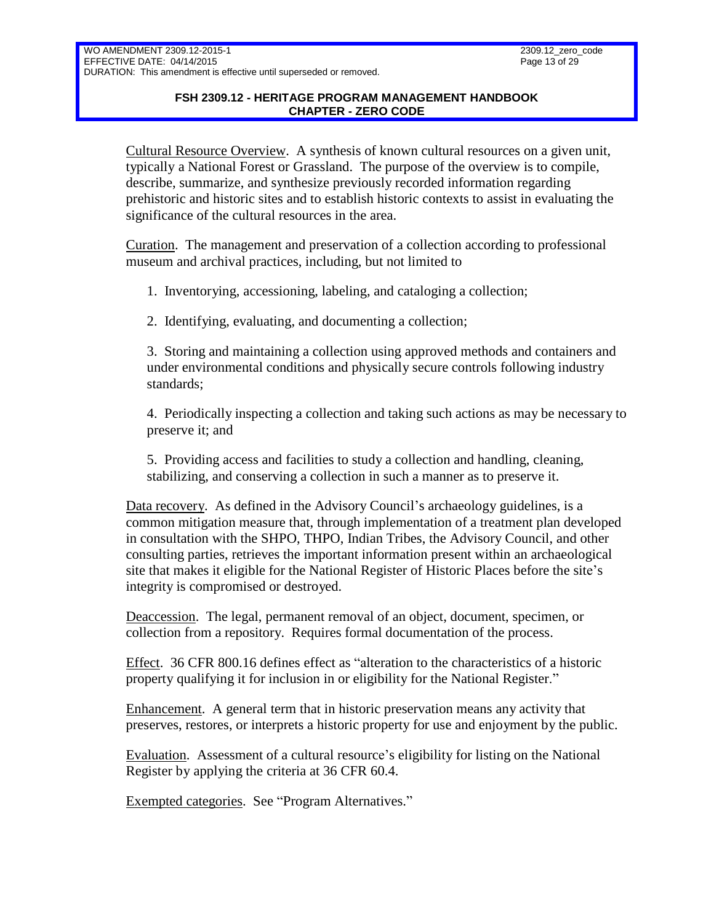### **FSH 2309.12 - HERITAGE PROGRAM MANAGEMENT HANDBOOK CHAPTER - ZERO CODE**

Cultural Resource Overview. A synthesis of known cultural resources on a given unit, typically a National Forest or Grassland. The purpose of the overview is to compile, describe, summarize, and synthesize previously recorded information regarding prehistoric and historic sites and to establish historic contexts to assist in evaluating the significance of the cultural resources in the area.

Curation. The management and preservation of a collection according to professional museum and archival practices, including, but not limited to

1. Inventorying, accessioning, labeling, and cataloging a collection;

2. Identifying, evaluating, and documenting a collection;

3. Storing and maintaining a collection using approved methods and containers and under environmental conditions and physically secure controls following industry standards;

4. Periodically inspecting a collection and taking such actions as may be necessary to preserve it; and

5. Providing access and facilities to study a collection and handling, cleaning, stabilizing, and conserving a collection in such a manner as to preserve it.

Data recovery. As defined in the Advisory Council's archaeology guidelines, is a common mitigation measure that, through implementation of a treatment plan developed in consultation with the SHPO, THPO, Indian Tribes, the Advisory Council, and other consulting parties, retrieves the important information present within an archaeological site that makes it eligible for the National Register of Historic Places before the site's integrity is compromised or destroyed.

Deaccession. The legal, permanent removal of an object, document, specimen, or collection from a repository. Requires formal documentation of the process.

Effect. 36 CFR 800.16 defines effect as "alteration to the characteristics of a historic property qualifying it for inclusion in or eligibility for the National Register."

Enhancement. A general term that in historic preservation means any activity that preserves, restores, or interprets a historic property for use and enjoyment by the public.

Evaluation. Assessment of a cultural resource's eligibility for listing on the National Register by applying the criteria at 36 CFR 60.4.

Exempted categories. See "Program Alternatives."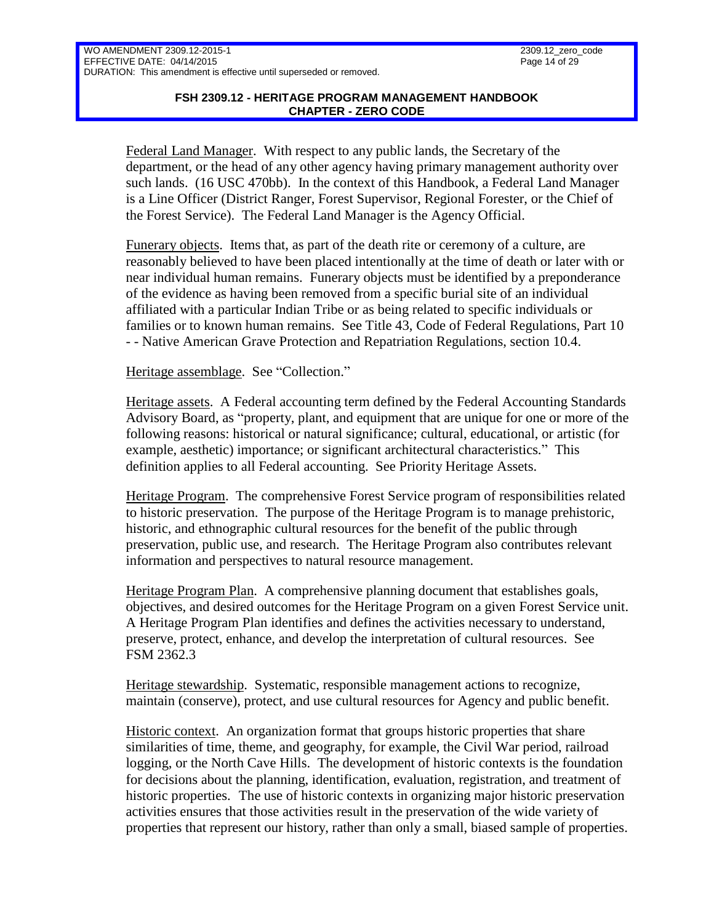### **FSH 2309.12 - HERITAGE PROGRAM MANAGEMENT HANDBOOK CHAPTER - ZERO CODE**

Federal Land Manager. With respect to any public lands, the Secretary of the department, or the head of any other agency having primary management authority over such lands. (16 USC 470bb). In the context of this Handbook, a Federal Land Manager is a Line Officer (District Ranger, Forest Supervisor, Regional Forester, or the Chief of the Forest Service). The Federal Land Manager is the Agency Official.

Funerary objects. Items that, as part of the death rite or ceremony of a culture, are reasonably believed to have been placed intentionally at the time of death or later with or near individual human remains. Funerary objects must be identified by a preponderance of the evidence as having been removed from a specific burial site of an individual affiliated with a particular Indian Tribe or as being related to specific individuals or families or to known human remains. See Title 43, Code of Federal Regulations, Part 10 - - Native American Grave Protection and Repatriation Regulations, section 10.4.

Heritage assemblage. See "Collection."

Heritage assets. A Federal accounting term defined by the Federal Accounting Standards Advisory Board, as "property, plant, and equipment that are unique for one or more of the following reasons: historical or natural significance; cultural, educational, or artistic (for example, aesthetic) importance; or significant architectural characteristics." This definition applies to all Federal accounting. See Priority Heritage Assets.

Heritage Program. The comprehensive Forest Service program of responsibilities related to historic preservation. The purpose of the Heritage Program is to manage prehistoric, historic, and ethnographic cultural resources for the benefit of the public through preservation, public use, and research. The Heritage Program also contributes relevant information and perspectives to natural resource management.

Heritage Program Plan. A comprehensive planning document that establishes goals, objectives, and desired outcomes for the Heritage Program on a given Forest Service unit. A Heritage Program Plan identifies and defines the activities necessary to understand, preserve, protect, enhance, and develop the interpretation of cultural resources. See FSM 2362.3

Heritage stewardship. Systematic, responsible management actions to recognize, maintain (conserve), protect, and use cultural resources for Agency and public benefit.

Historic context. An organization format that groups historic properties that share similarities of time, theme, and geography, for example, the Civil War period, railroad logging, or the North Cave Hills. The development of historic contexts is the foundation for decisions about the planning, identification, evaluation, registration, and treatment of historic properties. The use of historic contexts in organizing major historic preservation activities ensures that those activities result in the preservation of the wide variety of properties that represent our history, rather than only a small, biased sample of properties.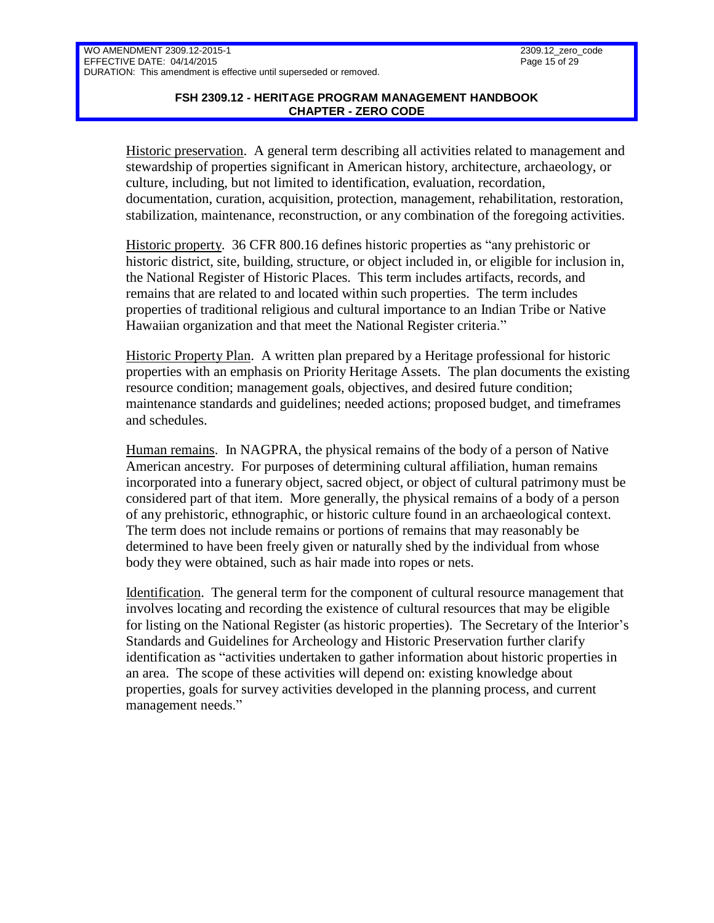### **FSH 2309.12 - HERITAGE PROGRAM MANAGEMENT HANDBOOK CHAPTER - ZERO CODE**

Historic preservation. A general term describing all activities related to management and stewardship of properties significant in American history, architecture, archaeology, or culture, including, but not limited to identification, evaluation, recordation, documentation, curation, acquisition, protection, management, rehabilitation, restoration, stabilization, maintenance, reconstruction, or any combination of the foregoing activities.

Historic property. 36 CFR 800.16 defines historic properties as "any prehistoric or historic district, site, building, structure, or object included in, or eligible for inclusion in, the National Register of Historic Places. This term includes artifacts, records, and remains that are related to and located within such properties. The term includes properties of traditional religious and cultural importance to an Indian Tribe or Native Hawaiian organization and that meet the National Register criteria."

Historic Property Plan. A written plan prepared by a Heritage professional for historic properties with an emphasis on Priority Heritage Assets. The plan documents the existing resource condition; management goals, objectives, and desired future condition; maintenance standards and guidelines; needed actions; proposed budget, and timeframes and schedules.

Human remains. In NAGPRA, the physical remains of the body of a person of Native American ancestry. For purposes of determining cultural affiliation, human remains incorporated into a funerary object, sacred object, or object of cultural patrimony must be considered part of that item. More generally, the physical remains of a body of a person of any prehistoric, ethnographic, or historic culture found in an archaeological context. The term does not include remains or portions of remains that may reasonably be determined to have been freely given or naturally shed by the individual from whose body they were obtained, such as hair made into ropes or nets.

Identification. The general term for the component of cultural resource management that involves locating and recording the existence of cultural resources that may be eligible for listing on the National Register (as historic properties). The Secretary of the Interior's Standards and Guidelines for Archeology and Historic Preservation further clarify identification as "activities undertaken to gather information about historic properties in an area. The scope of these activities will depend on: existing knowledge about properties, goals for survey activities developed in the planning process, and current management needs."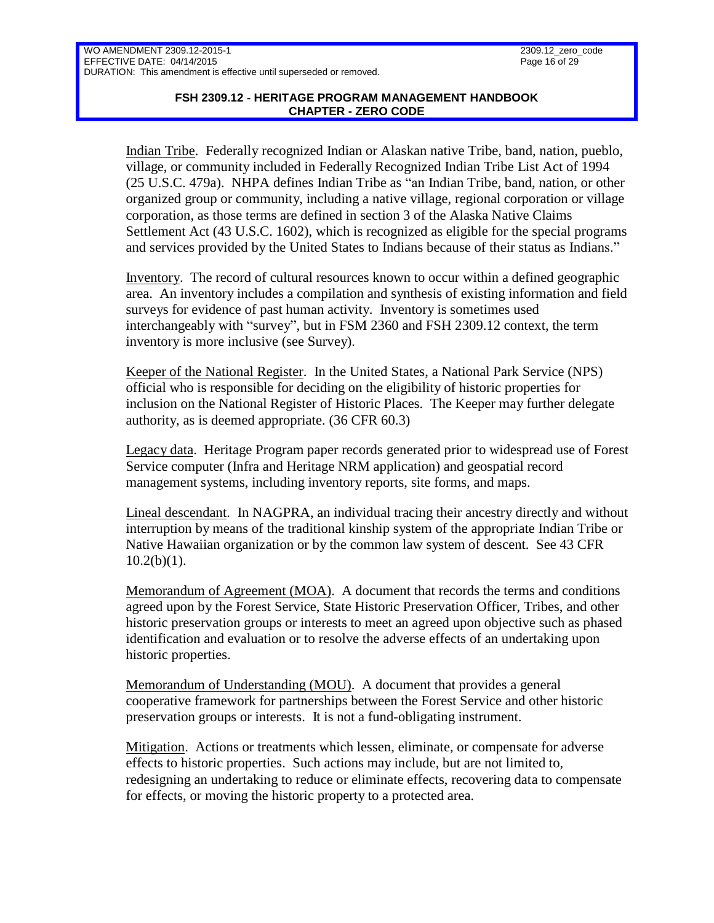### **FSH 2309.12 - HERITAGE PROGRAM MANAGEMENT HANDBOOK CHAPTER - ZERO CODE**

Indian Tribe. Federally recognized Indian or Alaskan native Tribe, band, nation, pueblo, village, or community included in Federally Recognized Indian Tribe List Act of 1994 (25 U.S.C. 479a). NHPA defines Indian Tribe as "an Indian Tribe, band, nation, or other organized group or community, including a native village, regional corporation or village corporation, as those terms are defined in section 3 of the Alaska Native Claims Settlement Act (43 U.S.C. 1602), which is recognized as eligible for the special programs and services provided by the United States to Indians because of their status as Indians."

Inventory. The record of cultural resources known to occur within a defined geographic area. An inventory includes a compilation and synthesis of existing information and field surveys for evidence of past human activity. Inventory is sometimes used interchangeably with "survey", but in FSM 2360 and FSH 2309.12 context, the term inventory is more inclusive (see Survey).

Keeper of the National Register. In the United States, a National Park Service (NPS) official who is responsible for deciding on the eligibility of historic properties for inclusion on the National Register of Historic Places. The Keeper may further delegate authority, as is deemed appropriate. (36 CFR 60.3)

Legacy data. Heritage Program paper records generated prior to widespread use of Forest Service computer (Infra and Heritage NRM application) and geospatial record management systems, including inventory reports, site forms, and maps.

Lineal descendant. In NAGPRA, an individual tracing their ancestry directly and without interruption by means of the traditional kinship system of the appropriate Indian Tribe or Native Hawaiian organization or by the common law system of descent. See 43 CFR  $10.2(b)(1)$ .

Memorandum of Agreement (MOA). A document that records the terms and conditions agreed upon by the Forest Service, State Historic Preservation Officer, Tribes, and other historic preservation groups or interests to meet an agreed upon objective such as phased identification and evaluation or to resolve the adverse effects of an undertaking upon historic properties.

Memorandum of Understanding (MOU). A document that provides a general cooperative framework for partnerships between the Forest Service and other historic preservation groups or interests. It is not a fund-obligating instrument.

Mitigation. Actions or treatments which lessen, eliminate, or compensate for adverse effects to historic properties. Such actions may include, but are not limited to, redesigning an undertaking to reduce or eliminate effects, recovering data to compensate for effects, or moving the historic property to a protected area.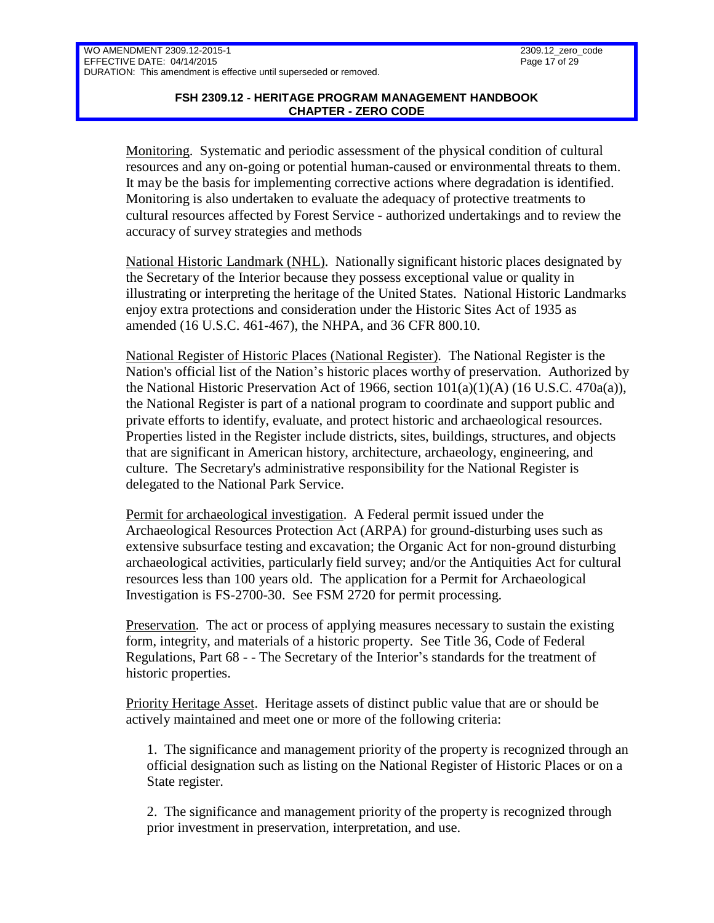### **FSH 2309.12 - HERITAGE PROGRAM MANAGEMENT HANDBOOK CHAPTER - ZERO CODE**

Monitoring. Systematic and periodic assessment of the physical condition of cultural resources and any on-going or potential human-caused or environmental threats to them. It may be the basis for implementing corrective actions where degradation is identified. Monitoring is also undertaken to evaluate the adequacy of protective treatments to cultural resources affected by Forest Service - authorized undertakings and to review the accuracy of survey strategies and methods

National Historic Landmark (NHL). Nationally significant historic places designated by the Secretary of the Interior because they possess exceptional value or quality in illustrating or interpreting the heritage of the United States. National Historic Landmarks enjoy extra protections and consideration under the Historic Sites Act of 1935 as amended (16 U.S.C. 461-467), the NHPA, and 36 CFR 800.10.

National Register of Historic Places (National Register). The National Register is the Nation's official list of the Nation's historic places worthy of preservation. Authorized by the National Historic Preservation Act of 1966, section  $101(a)(1)(A)$  (16 U.S.C. 470a(a)), the National Register is part of a national program to coordinate and support public and private efforts to identify, evaluate, and protect historic and archaeological resources. Properties listed in the Register include districts, sites, buildings, structures, and objects that are significant in American history, architecture, archaeology, engineering, and culture. The Secretary's administrative responsibility for the National Register is delegated to the National Park Service.

Permit for archaeological investigation. A Federal permit issued under the Archaeological Resources Protection Act (ARPA) for ground-disturbing uses such as extensive subsurface testing and excavation; the Organic Act for non-ground disturbing archaeological activities, particularly field survey; and/or the Antiquities Act for cultural resources less than 100 years old. The application for a Permit for Archaeological Investigation is FS-2700-30. See FSM 2720 for permit processing.

Preservation. The act or process of applying measures necessary to sustain the existing form, integrity, and materials of a historic property. See Title 36, Code of Federal Regulations, Part 68 - - The Secretary of the Interior's standards for the treatment of historic properties.

Priority Heritage Asset. Heritage assets of distinct public value that are or should be actively maintained and meet one or more of the following criteria:

1. The significance and management priority of the property is recognized through an official designation such as listing on the National Register of Historic Places or on a State register.

2. The significance and management priority of the property is recognized through prior investment in preservation, interpretation, and use.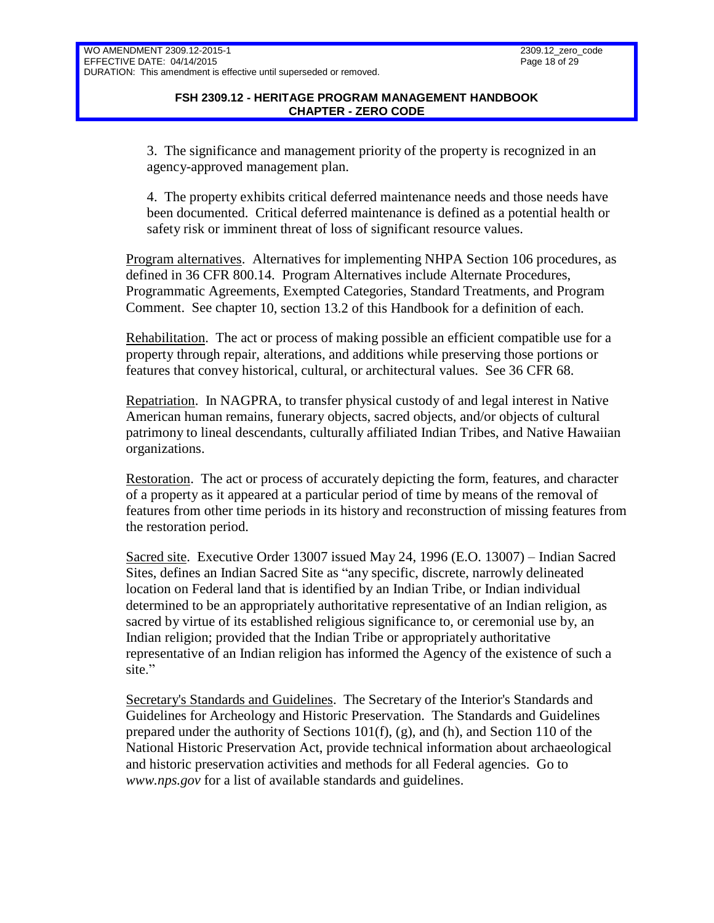3. The significance and management priority of the property is recognized in an agency-approved management plan.

4. The property exhibits critical deferred maintenance needs and those needs have been documented. Critical deferred maintenance is defined as a potential health or safety risk or imminent threat of loss of significant resource values.

Program alternatives. Alternatives for implementing NHPA Section 106 procedures, as defined in 36 CFR 800.14. Program Alternatives include Alternate Procedures, Programmatic Agreements, Exempted Categories, Standard Treatments, and Program Comment. See chapter 10, section 13.2 of this Handbook for a definition of each.

Rehabilitation. The act or process of making possible an efficient compatible use for a property through repair, alterations, and additions while preserving those portions or features that convey historical, cultural, or architectural values. See 36 CFR 68.

Repatriation. In NAGPRA, to transfer physical custody of and legal interest in Native American human remains, funerary objects, sacred objects, and/or objects of cultural patrimony to lineal descendants, culturally affiliated Indian Tribes, and Native Hawaiian organizations.

Restoration. The act or process of accurately depicting the form, features, and character of a property as it appeared at a particular period of time by means of the removal of features from other time periods in its history and reconstruction of missing features from the restoration period.

Sacred site. Executive Order 13007 issued May 24, 1996 (E.O. 13007) – Indian Sacred Sites, defines an Indian Sacred Site as "any specific, discrete, narrowly delineated location on Federal land that is identified by an Indian Tribe, or Indian individual determined to be an appropriately authoritative representative of an Indian religion, as sacred by virtue of its established religious significance to, or ceremonial use by, an Indian religion; provided that the Indian Tribe or appropriately authoritative representative of an Indian religion has informed the Agency of the existence of such a site."

Secretary's Standards and Guidelines. The Secretary of the Interior's Standards and Guidelines for Archeology and Historic Preservation. The Standards and Guidelines prepared under the authority of Sections 101(f), (g), and (h), and Section 110 of the National Historic Preservation Act, provide technical information about archaeological and historic preservation activities and methods for all Federal agencies. Go to *[www.nps.gov](http://www.nps.gov/)* for a list of available standards and guidelines.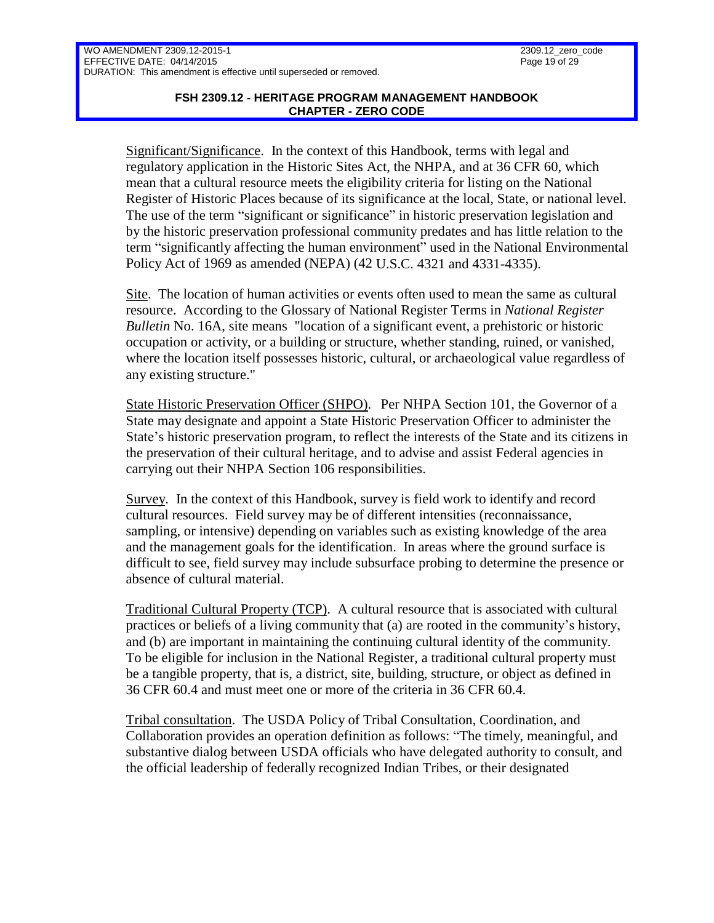### **FSH 2309.12 - HERITAGE PROGRAM MANAGEMENT HANDBOOK CHAPTER - ZERO CODE**

Significant/Significance. In the context of this Handbook, terms with legal and regulatory application in the Historic Sites Act, the NHPA, and at 36 CFR 60, which mean that a cultural resource meets the eligibility criteria for listing on the National Register of Historic Places because of its significance at the local, State, or national level. The use of the term "significant or significance" in historic preservation legislation and by the historic preservation professional community predates and has little relation to the term "significantly affecting the human environment" used in the National Environmental Policy Act of 1969 as amended (NEPA) (42 U.S.C. 4321 and 4331-4335).

Site. The location of human activities or events often used to mean the same as cultural resource. According to the Glossary of National Register Terms in *National Register Bulletin* No. 16A, site means "location of a significant event, a prehistoric or historic occupation or activity, or a building or structure, whether standing, ruined, or vanished, where the location itself possesses historic, cultural, or archaeological value regardless of any existing structure."

State Historic Preservation Officer (SHPO). Per NHPA Section 101, the Governor of a State may designate and appoint a State Historic Preservation Officer to administer the State's historic preservation program, to reflect the interests of the State and its citizens in the preservation of their cultural heritage, and to advise and assist Federal agencies in carrying out their NHPA Section 106 responsibilities.

Survey. In the context of this Handbook, survey is field work to identify and record cultural resources. Field survey may be of different intensities (reconnaissance, sampling, or intensive) depending on variables such as existing knowledge of the area and the management goals for the identification. In areas where the ground surface is difficult to see, field survey may include subsurface probing to determine the presence or absence of cultural material.

Traditional Cultural Property (TCP). A cultural resource that is associated with cultural practices or beliefs of a living community that (a) are rooted in the community's history, and (b) are important in maintaining the continuing cultural identity of the community. To be eligible for inclusion in the National Register, a traditional cultural property must be a tangible property, that is, a district, site, building, structure, or object as defined in 36 CFR 60.4 and must meet one or more of the criteria in 36 CFR 60.4.

Tribal consultation. The USDA Policy of Tribal Consultation, Coordination, and Collaboration provides an operation definition as follows: "The timely, meaningful, and substantive dialog between USDA officials who have delegated authority to consult, and the official leadership of federally recognized Indian Tribes, or their designated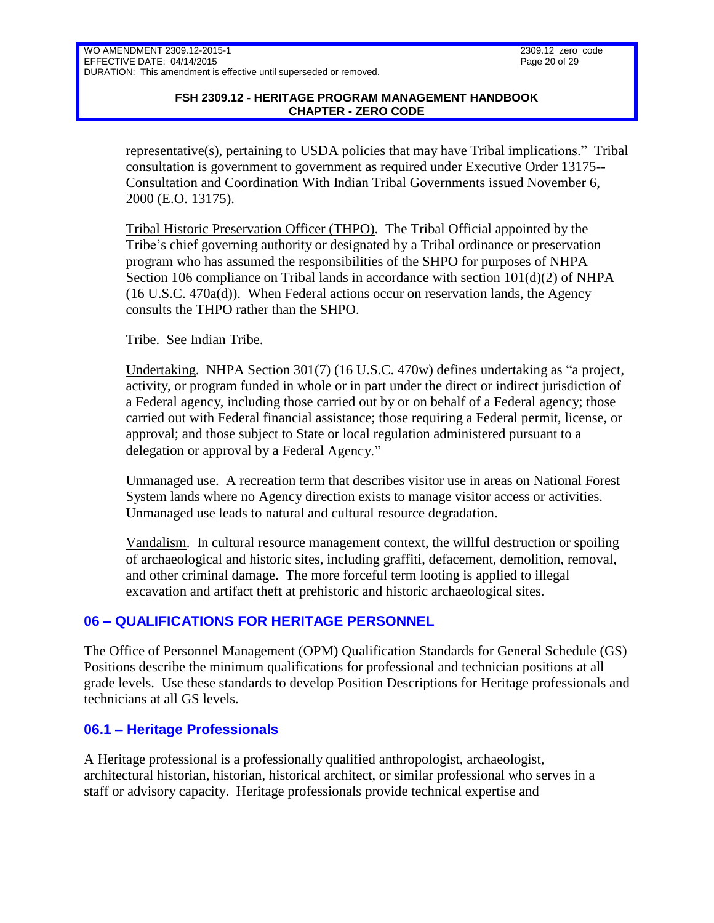### **FSH 2309.12 - HERITAGE PROGRAM MANAGEMENT HANDBOOK CHAPTER - ZERO CODE**

representative(s), pertaining to USDA policies that may have Tribal implications." Tribal consultation is government to government as required under Executive Order 13175-- Consultation and Coordination With Indian Tribal Governments issued November 6, 2000 (E.O. 13175).

Tribal Historic Preservation Officer (THPO). The Tribal Official appointed by the Tribe's chief governing authority or designated by a Tribal ordinance or preservation program who has assumed the responsibilities of the SHPO for purposes of NHPA Section 106 compliance on Tribal lands in accordance with section  $101(d)(2)$  of NHPA (16 U.S.C. 470a(d)). When Federal actions occur on reservation lands, the Agency consults the THPO rather than the SHPO.

Tribe. See Indian Tribe.

Undertaking. NHPA Section 301(7) (16 U.S.C. 470w) defines undertaking as "a project, activity, or program funded in whole or in part under the direct or indirect jurisdiction of a Federal agency, including those carried out by or on behalf of a Federal agency; those carried out with Federal financial assistance; those requiring a Federal permit, license, or approval; and those subject to State or local regulation administered pursuant to a delegation or approval by a Federal Agency."

Unmanaged use. A recreation term that describes visitor use in areas on National Forest System lands where no Agency direction exists to manage visitor access or activities. Unmanaged use leads to natural and cultural resource degradation.

Vandalism. In cultural resource management context, the willful destruction or spoiling of archaeological and historic sites, including graffiti, defacement, demolition, removal, and other criminal damage. The more forceful term looting is applied to illegal excavation and artifact theft at prehistoric and historic archaeological sites.

# <span id="page-19-0"></span>**06 – QUALIFICATIONS FOR HERITAGE PERSONNEL**

The Office of Personnel Management (OPM) Qualification Standards for General Schedule (GS) Positions describe the minimum qualifications for professional and technician positions at all grade levels. Use these standards to develop Position Descriptions for Heritage professionals and technicians at all GS levels.

## <span id="page-19-1"></span>**06.1 – Heritage Professionals**

A Heritage professional is a professionally qualified anthropologist, archaeologist, architectural historian, historian, historical architect, or similar professional who serves in a staff or advisory capacity. Heritage professionals provide technical expertise and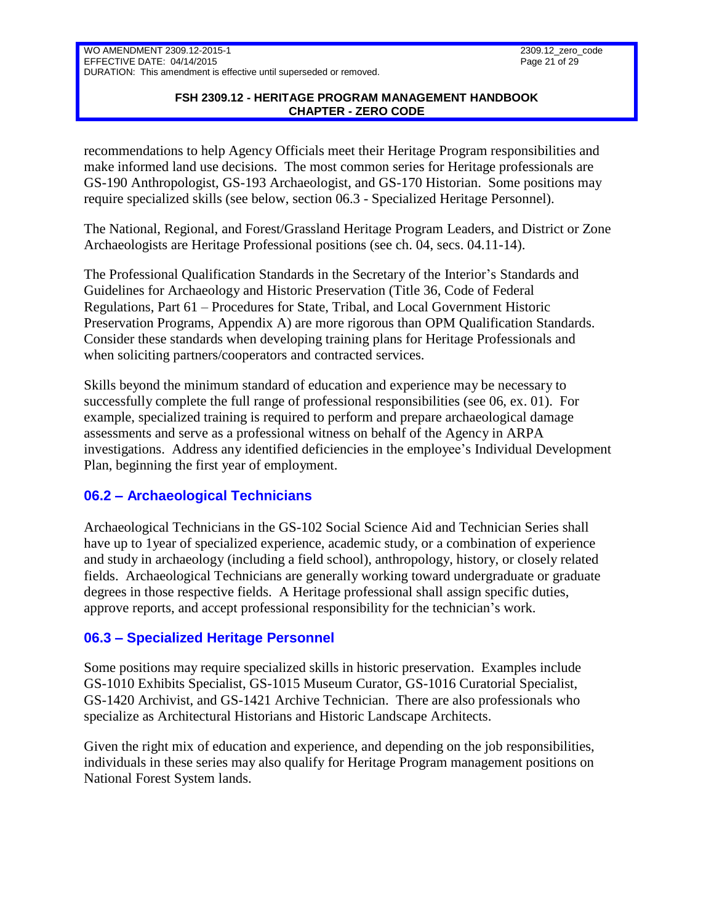### **FSH 2309.12 - HERITAGE PROGRAM MANAGEMENT HANDBOOK CHAPTER - ZERO CODE**

recommendations to help Agency Officials meet their Heritage Program responsibilities and make informed land use decisions. The most common series for Heritage professionals are GS-190 Anthropologist, GS-193 Archaeologist, and GS-170 Historian. Some positions may require specialized skills (see below, section 06.3 - Specialized Heritage Personnel).

The National, Regional, and Forest/Grassland Heritage Program Leaders, and District or Zone Archaeologists are Heritage Professional positions (see ch. 04, secs. 04.11-14).

The Professional Qualification Standards in the Secretary of the Interior's Standards and Guidelines for Archaeology and Historic Preservation (Title 36, Code of Federal Regulations, Part 61 – Procedures for State, Tribal, and Local Government Historic Preservation Programs, Appendix A) are more rigorous than OPM Qualification Standards. Consider these standards when developing training plans for Heritage Professionals and when soliciting partners/cooperators and contracted services.

Skills beyond the minimum standard of education and experience may be necessary to successfully complete the full range of professional responsibilities (see 06, ex. 01). For example, specialized training is required to perform and prepare archaeological damage assessments and serve as a professional witness on behalf of the Agency in ARPA investigations. Address any identified deficiencies in the employee's Individual Development Plan, beginning the first year of employment.

# <span id="page-20-0"></span>**06.2 – Archaeological Technicians**

Archaeological Technicians in the GS-102 Social Science Aid and Technician Series shall have up to 1year of specialized experience, academic study, or a combination of experience and study in archaeology (including a field school), anthropology, history, or closely related fields. Archaeological Technicians are generally working toward undergraduate or graduate degrees in those respective fields. A Heritage professional shall assign specific duties, approve reports, and accept professional responsibility for the technician's work.

## <span id="page-20-1"></span>**06.3 – Specialized Heritage Personnel**

Some positions may require specialized skills in historic preservation. Examples include GS-1010 Exhibits Specialist, GS-1015 Museum Curator, GS-1016 Curatorial Specialist, GS-1420 Archivist, and GS-1421 Archive Technician. There are also professionals who specialize as Architectural Historians and Historic Landscape Architects.

Given the right mix of education and experience, and depending on the job responsibilities, individuals in these series may also qualify for Heritage Program management positions on National Forest System lands.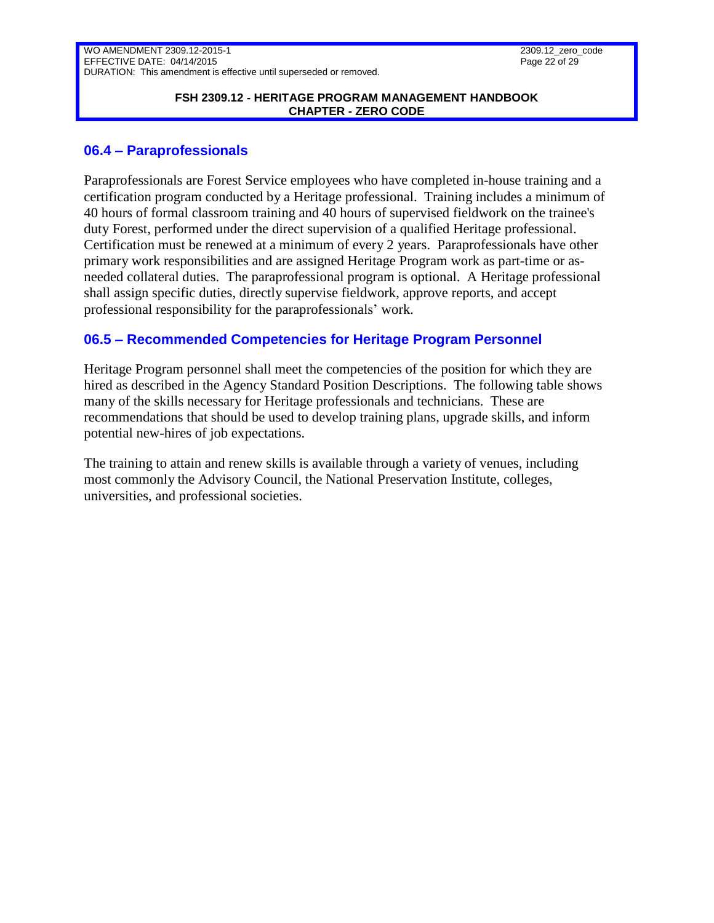#### **FSH 2309.12 - HERITAGE PROGRAM MANAGEMENT HANDBOOK CHAPTER - ZERO CODE**

### <span id="page-21-0"></span>**06.4 – Paraprofessionals**

Paraprofessionals are Forest Service employees who have completed in-house training and a certification program conducted by a Heritage professional. Training includes a minimum of 40 hours of formal classroom training and 40 hours of supervised fieldwork on the trainee's duty Forest, performed under the direct supervision of a qualified Heritage professional. Certification must be renewed at a minimum of every 2 years. Paraprofessionals have other primary work responsibilities and are assigned Heritage Program work as part-time or asneeded collateral duties. The paraprofessional program is optional. A Heritage professional shall assign specific duties, directly supervise fieldwork, approve reports, and accept professional responsibility for the paraprofessionals' work.

### <span id="page-21-1"></span>**06.5 – Recommended Competencies for Heritage Program Personnel**

Heritage Program personnel shall meet the competencies of the position for which they are hired as described in the Agency Standard Position Descriptions. The following table shows many of the skills necessary for Heritage professionals and technicians. These are recommendations that should be used to develop training plans, upgrade skills, and inform potential new-hires of job expectations.

The training to attain and renew skills is available through a variety of venues, including most commonly the Advisory Council, the National Preservation Institute, colleges, universities, and professional societies.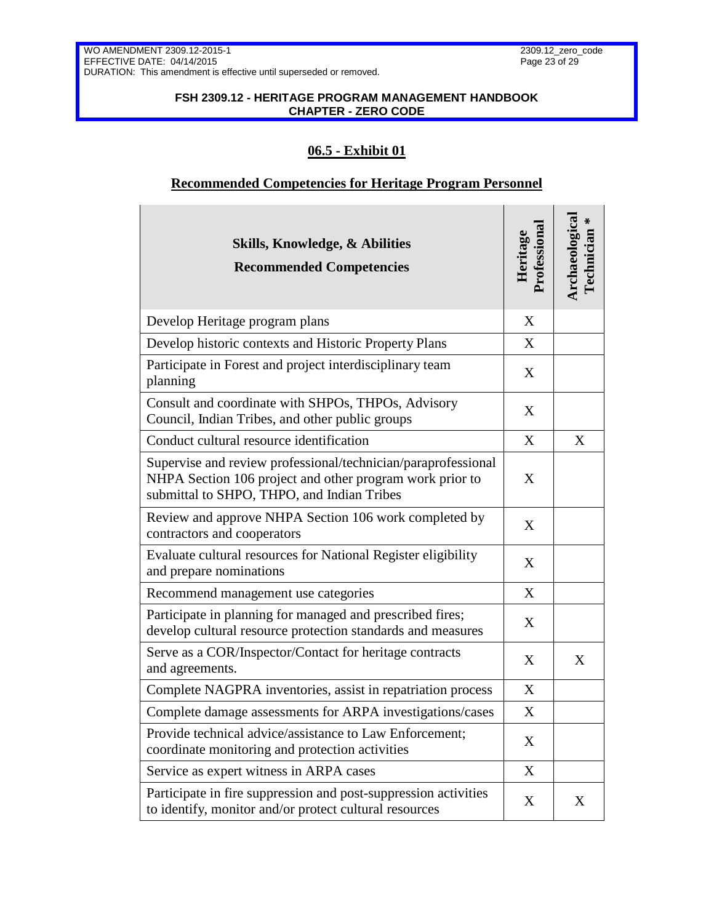$\mathbf{L}$ 

### **FSH 2309.12 - HERITAGE PROGRAM MANAGEMENT HANDBOOK CHAPTER - ZERO CODE**

# **06.5 - Exhibit 01**

## **Recommended Competencies for Heritage Program Personnel**

| <b>Skills, Knowledge, &amp; Abilities</b><br><b>Recommended Competencies</b>                                                                                            | Professional<br>Heritage | Archaeologica<br>₩<br><b>Technician</b> |
|-------------------------------------------------------------------------------------------------------------------------------------------------------------------------|--------------------------|-----------------------------------------|
| Develop Heritage program plans                                                                                                                                          | X                        |                                         |
| Develop historic contexts and Historic Property Plans                                                                                                                   | X                        |                                         |
| Participate in Forest and project interdisciplinary team<br>planning                                                                                                    | X                        |                                         |
| Consult and coordinate with SHPOs, THPOs, Advisory<br>Council, Indian Tribes, and other public groups                                                                   | X                        |                                         |
| Conduct cultural resource identification                                                                                                                                | X                        | X                                       |
| Supervise and review professional/technician/paraprofessional<br>NHPA Section 106 project and other program work prior to<br>submittal to SHPO, THPO, and Indian Tribes | X                        |                                         |
| Review and approve NHPA Section 106 work completed by<br>contractors and cooperators                                                                                    | X                        |                                         |
| Evaluate cultural resources for National Register eligibility<br>and prepare nominations                                                                                | X                        |                                         |
| Recommend management use categories                                                                                                                                     | X                        |                                         |
| Participate in planning for managed and prescribed fires;<br>develop cultural resource protection standards and measures                                                | X                        |                                         |
| Serve as a COR/Inspector/Contact for heritage contracts<br>and agreements.                                                                                              | X                        | X                                       |
| Complete NAGPRA inventories, assist in repatriation process                                                                                                             | X                        |                                         |
| Complete damage assessments for ARPA investigations/cases                                                                                                               | X                        |                                         |
| Provide technical advice/assistance to Law Enforcement;<br>coordinate monitoring and protection activities                                                              | X                        |                                         |
| Service as expert witness in ARPA cases                                                                                                                                 | X                        |                                         |
| Participate in fire suppression and post-suppression activities<br>to identify, monitor and/or protect cultural resources                                               | X                        | X                                       |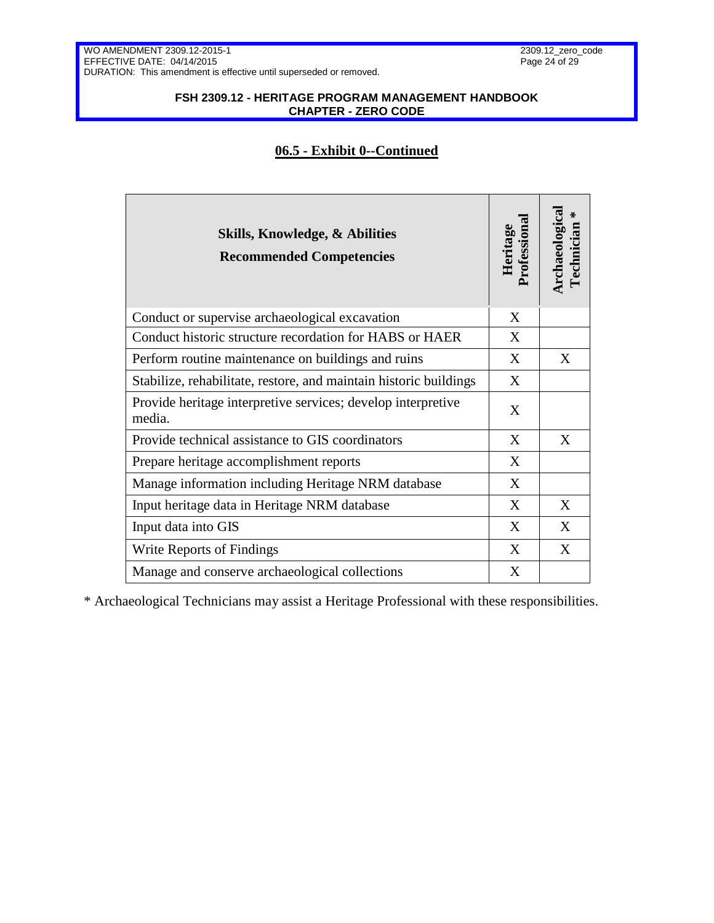### **FSH 2309.12 - HERITAGE PROGRAM MANAGEMENT HANDBOOK CHAPTER - ZERO CODE**

### **06.5 - Exhibit 0--Continued**

| <b>Skills, Knowledge, &amp; Abilities</b><br><b>Recommended Competencies</b> | Heritage<br>Professional | Archaeologica<br>₩<br>echnician |
|------------------------------------------------------------------------------|--------------------------|---------------------------------|
| Conduct or supervise archaeological excavation                               | X                        |                                 |
| Conduct historic structure recordation for HABS or HAER                      | X                        |                                 |
| Perform routine maintenance on buildings and ruins                           | X                        | X                               |
| Stabilize, rehabilitate, restore, and maintain historic buildings            | X                        |                                 |
| Provide heritage interpretive services; develop interpretive<br>media.       | X                        |                                 |
| Provide technical assistance to GIS coordinators                             | X                        | X                               |
| Prepare heritage accomplishment reports                                      | X                        |                                 |
| Manage information including Heritage NRM database                           | X                        |                                 |
| Input heritage data in Heritage NRM database                                 | X                        | X                               |
| Input data into GIS                                                          | X                        | X                               |
| Write Reports of Findings                                                    | X                        | X                               |
| Manage and conserve archaeological collections                               | X                        |                                 |

\* Archaeological Technicians may assist a Heritage Professional with these responsibilities.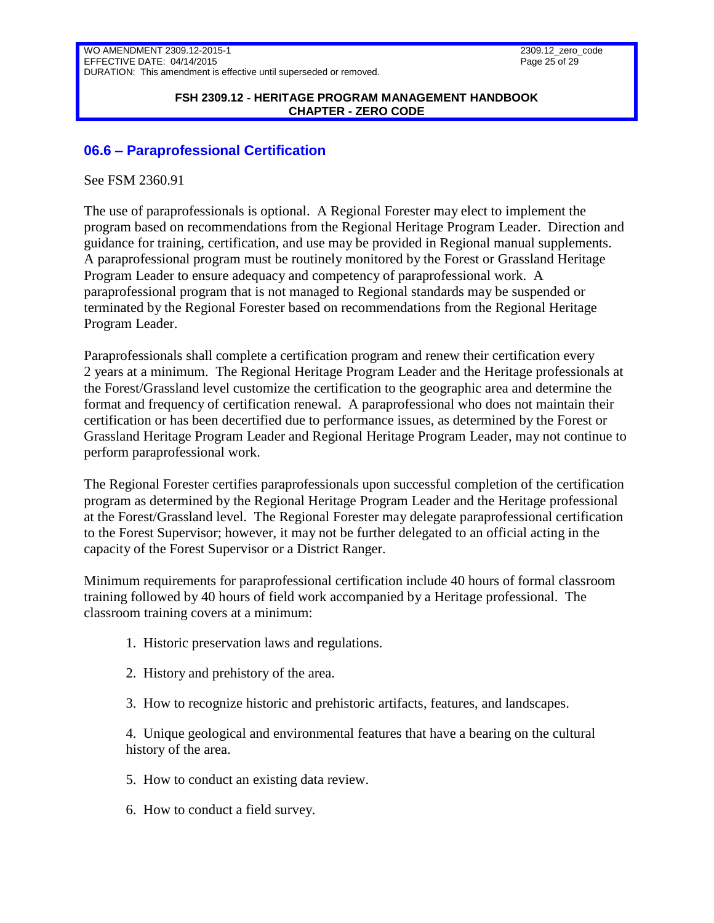#### **FSH 2309.12 - HERITAGE PROGRAM MANAGEMENT HANDBOOK CHAPTER - ZERO CODE**

### <span id="page-24-0"></span>**06.6 – Paraprofessional Certification**

See FSM 2360.91

The use of paraprofessionals is optional. A Regional Forester may elect to implement the program based on recommendations from the Regional Heritage Program Leader. Direction and guidance for training, certification, and use may be provided in Regional manual supplements. A paraprofessional program must be routinely monitored by the Forest or Grassland Heritage Program Leader to ensure adequacy and competency of paraprofessional work. A paraprofessional program that is not managed to Regional standards may be suspended or terminated by the Regional Forester based on recommendations from the Regional Heritage Program Leader.

Paraprofessionals shall complete a certification program and renew their certification every 2 years at a minimum. The Regional Heritage Program Leader and the Heritage professionals at the Forest/Grassland level customize the certification to the geographic area and determine the format and frequency of certification renewal. A paraprofessional who does not maintain their certification or has been decertified due to performance issues, as determined by the Forest or Grassland Heritage Program Leader and Regional Heritage Program Leader, may not continue to perform paraprofessional work.

The Regional Forester certifies paraprofessionals upon successful completion of the certification program as determined by the Regional Heritage Program Leader and the Heritage professional at the Forest/Grassland level. The Regional Forester may delegate paraprofessional certification to the Forest Supervisor; however, it may not be further delegated to an official acting in the capacity of the Forest Supervisor or a District Ranger.

Minimum requirements for paraprofessional certification include 40 hours of formal classroom training followed by 40 hours of field work accompanied by a Heritage professional. The classroom training covers at a minimum:

- 1. Historic preservation laws and regulations.
- 2. History and prehistory of the area.
- 3. How to recognize historic and prehistoric artifacts, features, and landscapes.

4. Unique geological and environmental features that have a bearing on the cultural history of the area.

- 5. How to conduct an existing data review.
- 6. How to conduct a field survey.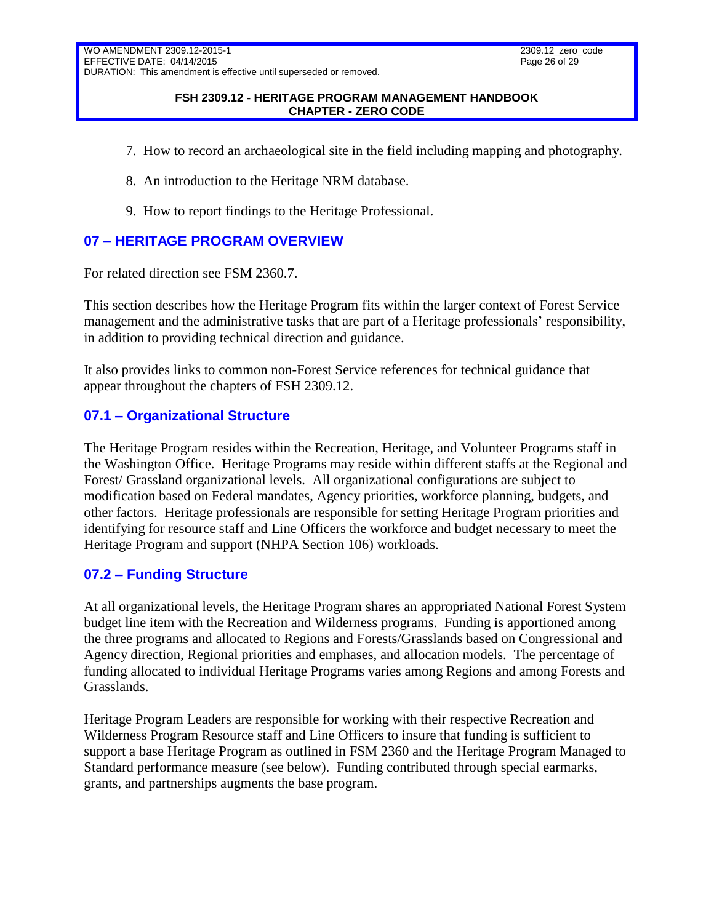#### **FSH 2309.12 - HERITAGE PROGRAM MANAGEMENT HANDBOOK CHAPTER - ZERO CODE**

- 7. How to record an archaeological site in the field including mapping and photography.
- 8. An introduction to the Heritage NRM database.
- 9. How to report findings to the Heritage Professional.

## <span id="page-25-0"></span>**07 – HERITAGE PROGRAM OVERVIEW**

For related direction see FSM 2360.7.

This section describes how the Heritage Program fits within the larger context of Forest Service management and the administrative tasks that are part of a Heritage professionals' responsibility, in addition to providing technical direction and guidance.

It also provides links to common non-Forest Service references for technical guidance that appear throughout the chapters of FSH 2309.12.

### <span id="page-25-1"></span>**07.1 – Organizational Structure**

The Heritage Program resides within the Recreation, Heritage, and Volunteer Programs staff in the Washington Office. Heritage Programs may reside within different staffs at the Regional and Forest/ Grassland organizational levels. All organizational configurations are subject to modification based on Federal mandates, Agency priorities, workforce planning, budgets, and other factors. Heritage professionals are responsible for setting Heritage Program priorities and identifying for resource staff and Line Officers the workforce and budget necessary to meet the Heritage Program and support (NHPA Section 106) workloads.

### <span id="page-25-2"></span>**07.2 – Funding Structure**

At all organizational levels, the Heritage Program shares an appropriated National Forest System budget line item with the Recreation and Wilderness programs. Funding is apportioned among the three programs and allocated to Regions and Forests/Grasslands based on Congressional and Agency direction, Regional priorities and emphases, and allocation models. The percentage of funding allocated to individual Heritage Programs varies among Regions and among Forests and Grasslands.

Heritage Program Leaders are responsible for working with their respective Recreation and Wilderness Program Resource staff and Line Officers to insure that funding is sufficient to support a base Heritage Program as outlined in FSM 2360 and the Heritage Program Managed to Standard performance measure (see below). Funding contributed through special earmarks, grants, and partnerships augments the base program.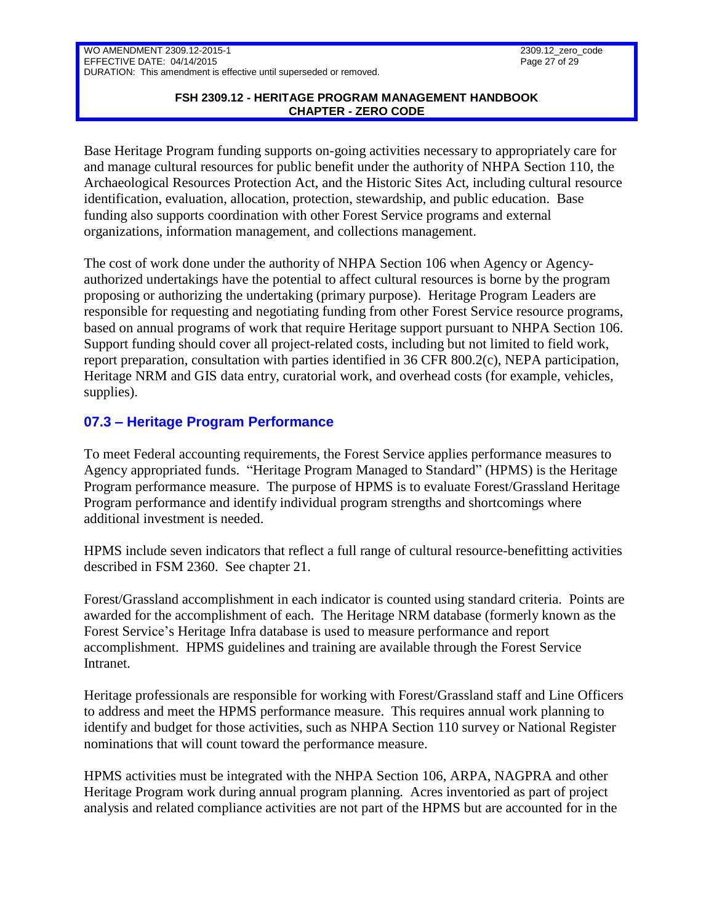### **FSH 2309.12 - HERITAGE PROGRAM MANAGEMENT HANDBOOK CHAPTER - ZERO CODE**

Base Heritage Program funding supports on-going activities necessary to appropriately care for and manage cultural resources for public benefit under the authority of NHPA Section 110, the Archaeological Resources Protection Act, and the Historic Sites Act, including cultural resource identification, evaluation, allocation, protection, stewardship, and public education. Base funding also supports coordination with other Forest Service programs and external organizations, information management, and collections management.

The cost of work done under the authority of NHPA Section 106 when Agency or Agencyauthorized undertakings have the potential to affect cultural resources is borne by the program proposing or authorizing the undertaking (primary purpose). Heritage Program Leaders are responsible for requesting and negotiating funding from other Forest Service resource programs, based on annual programs of work that require Heritage support pursuant to NHPA Section 106. Support funding should cover all project-related costs, including but not limited to field work, report preparation, consultation with parties identified in 36 CFR 800.2(c), NEPA participation, Heritage NRM and GIS data entry, curatorial work, and overhead costs (for example, vehicles, supplies).

# <span id="page-26-0"></span>**07.3 – Heritage Program Performance**

To meet Federal accounting requirements, the Forest Service applies performance measures to Agency appropriated funds. "Heritage Program Managed to Standard" (HPMS) is the Heritage Program performance measure. The purpose of HPMS is to evaluate Forest/Grassland Heritage Program performance and identify individual program strengths and shortcomings where additional investment is needed.

HPMS include seven indicators that reflect a full range of cultural resource-benefitting activities described in FSM 2360. See chapter 21.

Forest/Grassland accomplishment in each indicator is counted using standard criteria. Points are awarded for the accomplishment of each. The Heritage NRM database (formerly known as the Forest Service's Heritage Infra database is used to measure performance and report accomplishment. HPMS guidelines and training are available through the Forest Service Intranet.

Heritage professionals are responsible for working with Forest/Grassland staff and Line Officers to address and meet the HPMS performance measure. This requires annual work planning to identify and budget for those activities, such as NHPA Section 110 survey or National Register nominations that will count toward the performance measure.

HPMS activities must be integrated with the NHPA Section 106, ARPA, NAGPRA and other Heritage Program work during annual program planning. Acres inventoried as part of project analysis and related compliance activities are not part of the HPMS but are accounted for in the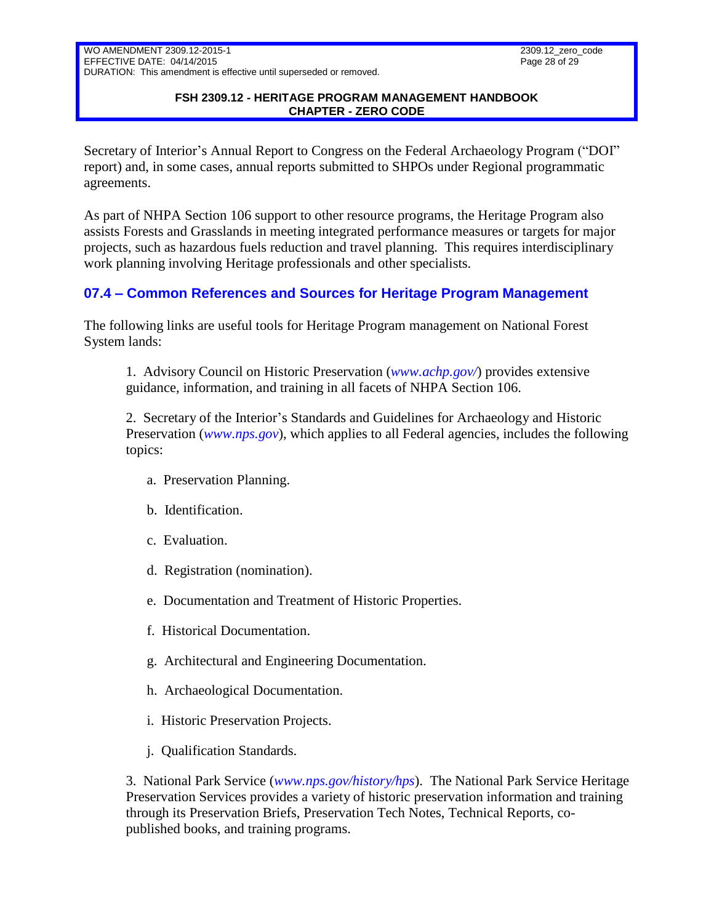### **FSH 2309.12 - HERITAGE PROGRAM MANAGEMENT HANDBOOK CHAPTER - ZERO CODE**

Secretary of Interior's Annual Report to Congress on the Federal Archaeology Program ("DOI" report) and, in some cases, annual reports submitted to SHPOs under Regional programmatic agreements.

As part of NHPA Section 106 support to other resource programs, the Heritage Program also assists Forests and Grasslands in meeting integrated performance measures or targets for major projects, such as hazardous fuels reduction and travel planning. This requires interdisciplinary work planning involving Heritage professionals and other specialists.

# <span id="page-27-0"></span>**07.4 – Common References and Sources for Heritage Program Management**

The following links are useful tools for Heritage Program management on National Forest System lands:

1. Advisory Council on Historic Preservation (*[www.achp.gov/](http://www.achp.gov/)*) provides extensive guidance, information, and training in all facets of NHPA Section 106.

2. Secretary of the Interior's Standards and Guidelines for Archaeology and Historic Preservation (*[www.nps.gov](http://www.nps.gov/)*), which applies to all Federal agencies, includes the following topics:

- a. Preservation Planning.
- b. Identification.
- c. Evaluation.
- d. Registration (nomination).
- e. Documentation and Treatment of Historic Properties.
- f. Historical Documentation.
- g. Architectural and Engineering Documentation.
- h. Archaeological Documentation.
- i. Historic Preservation Projects.
- j. Qualification Standards.

3. National Park Service (*[www.nps.gov/history/hps](http://www.nps.gov/history/hps)*). The National Park Service Heritage Preservation Services provides a variety of historic preservation information and training through its Preservation Briefs, Preservation Tech Notes, Technical Reports, copublished books, and training programs.